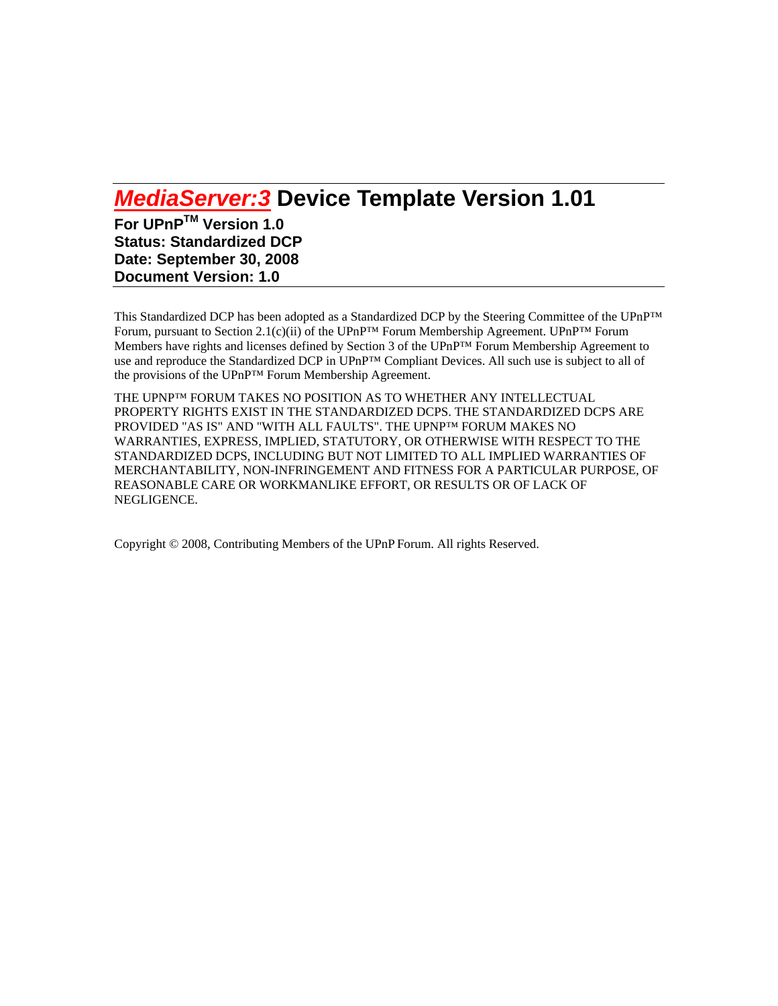# *MediaServer:3* **Device Template Version 1.01**

**For UPnPTM Version 1.0 Status: Standardized DCP Date: September 30, 2008 Document Version: 1.0** 

This Standardized DCP has been adopted as a Standardized DCP by the Steering Committee of the UPnP™ Forum, pursuant to Section 2.1(c)(ii) of the UPnP<sup>™</sup> Forum Membership Agreement. UPnP<sup>™</sup> Forum Members have rights and licenses defined by Section 3 of the UPnP™ Forum Membership Agreement to use and reproduce the Standardized DCP in UPnP™ Compliant Devices. All such use is subject to all of the provisions of the UPnP™ Forum Membership Agreement.

THE UPNP™ FORUM TAKES NO POSITION AS TO WHETHER ANY INTELLECTUAL PROPERTY RIGHTS EXIST IN THE STANDARDIZED DCPS. THE STANDARDIZED DCPS ARE PROVIDED "AS IS" AND "WITH ALL FAULTS". THE UPNP™ FORUM MAKES NO WARRANTIES, EXPRESS, IMPLIED, STATUTORY, OR OTHERWISE WITH RESPECT TO THE STANDARDIZED DCPS, INCLUDING BUT NOT LIMITED TO ALL IMPLIED WARRANTIES OF MERCHANTABILITY, NON-INFRINGEMENT AND FITNESS FOR A PARTICULAR PURPOSE, OF REASONABLE CARE OR WORKMANLIKE EFFORT, OR RESULTS OR OF LACK OF NEGLIGENCE.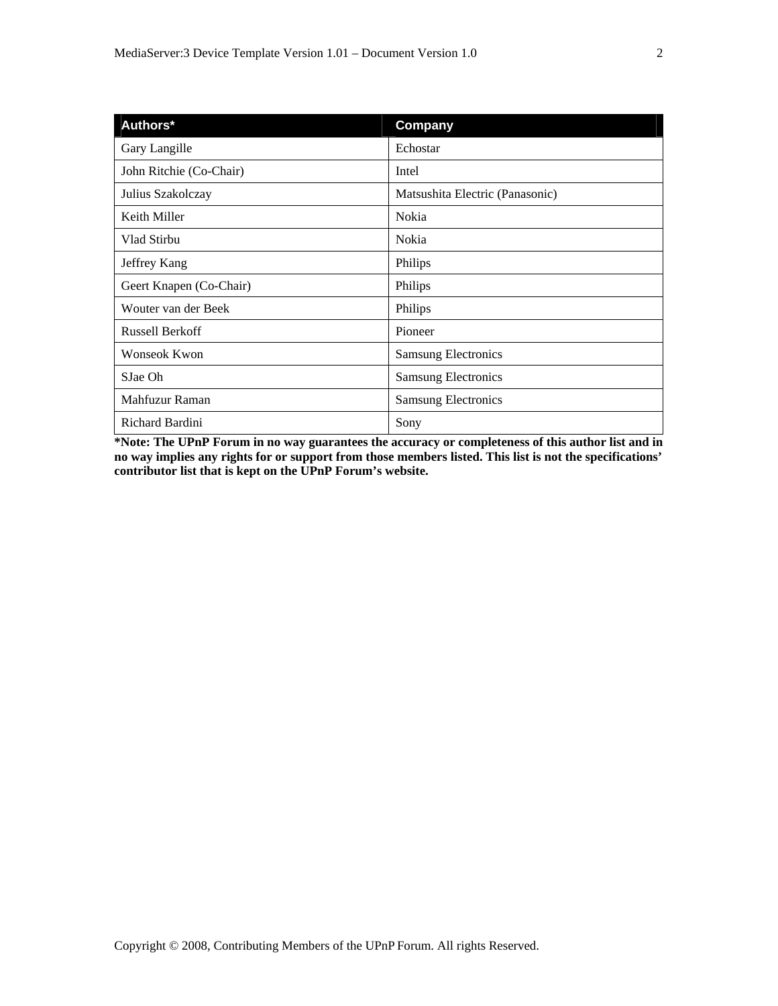| Authors*                | Company                         |
|-------------------------|---------------------------------|
| Gary Langille           | Echostar                        |
| John Ritchie (Co-Chair) | Intel                           |
| Julius Szakolczay       | Matsushita Electric (Panasonic) |
| Keith Miller            | Nokia                           |
| Vlad Stirbu             | Nokia                           |
| Jeffrey Kang            | Philips                         |
| Geert Knapen (Co-Chair) | Philips                         |
| Wouter van der Beek     | Philips                         |
| <b>Russell Berkoff</b>  | Pioneer                         |
| <b>Wonseok Kwon</b>     | <b>Samsung Electronics</b>      |
| SJae Oh                 | <b>Samsung Electronics</b>      |
| Mahfuzur Raman          | <b>Samsung Electronics</b>      |
| Richard Bardini         | Sony                            |

**\*Note: The UPnP Forum in no way guarantees the accuracy or completeness of this author list and in no way implies any rights for or support from those members listed. This list is not the specifications' contributor list that is kept on the UPnP Forum's website.**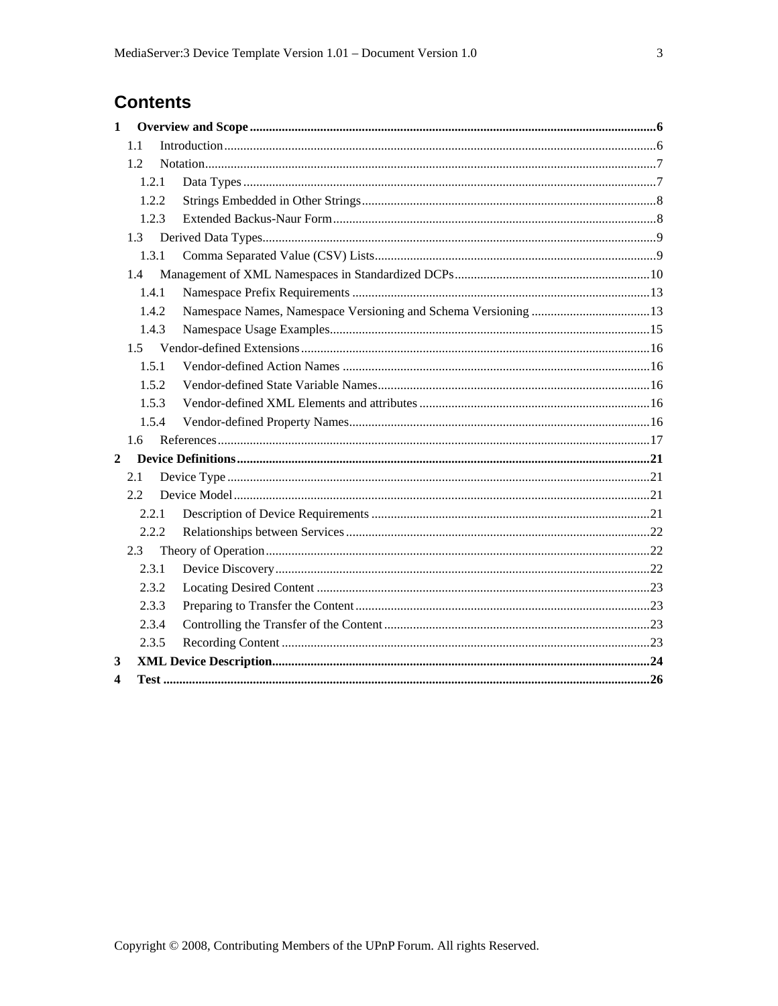# **Contents**

| $\mathbf{1}$ |       |  |  |
|--------------|-------|--|--|
|              | 1.1   |  |  |
|              | 1.2   |  |  |
|              | 1.2.1 |  |  |
|              | 1.2.2 |  |  |
|              | 1.2.3 |  |  |
|              | 1.3   |  |  |
|              | 1.3.1 |  |  |
|              | 1.4   |  |  |
|              | 1.4.1 |  |  |
|              | 1.4.2 |  |  |
|              | 1.4.3 |  |  |
|              |       |  |  |
|              | 1.5.1 |  |  |
|              | 1.5.2 |  |  |
|              | 1.5.3 |  |  |
|              | 1.5.4 |  |  |
|              | 1.6   |  |  |
| $\mathbf{2}$ |       |  |  |
|              | 2.1   |  |  |
|              | 2.2   |  |  |
|              | 2.2.1 |  |  |
|              | 2.2.2 |  |  |
|              | 2.3   |  |  |
|              | 2.3.1 |  |  |
|              | 2.3.2 |  |  |
|              | 2.3.3 |  |  |
|              | 2.3.4 |  |  |
|              | 2.3.5 |  |  |
| 3            |       |  |  |
| 4            |       |  |  |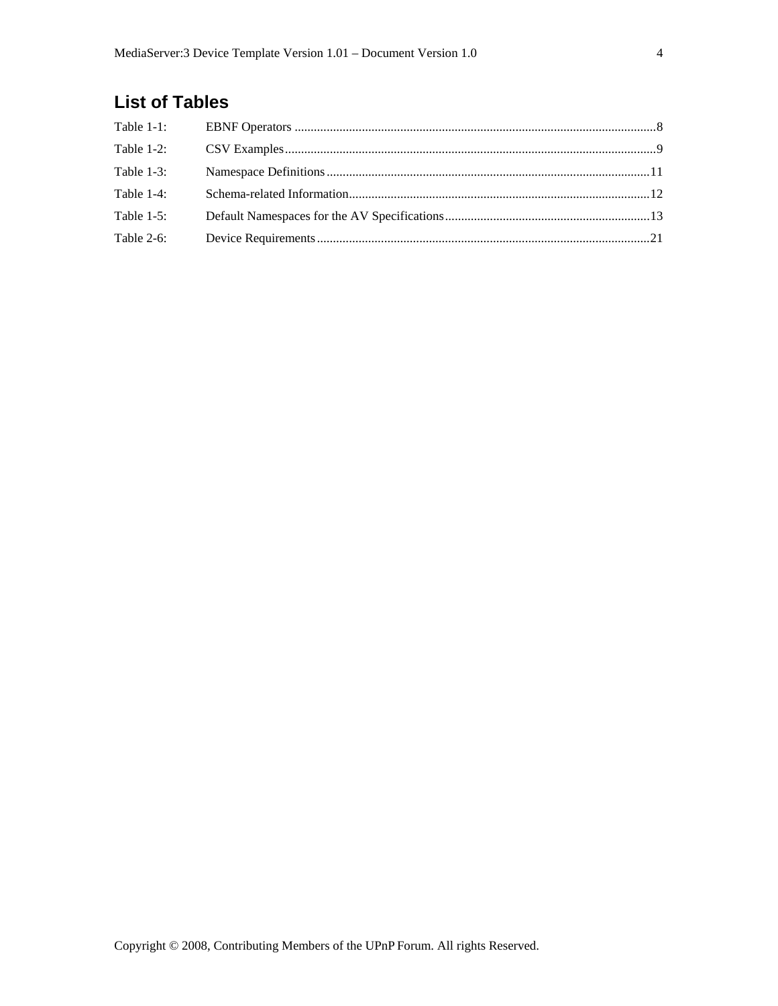# **List of Tables**

| Table 1-3: |  |
|------------|--|
| Table 1-4: |  |
| Table 1-5: |  |
| Table 2-6: |  |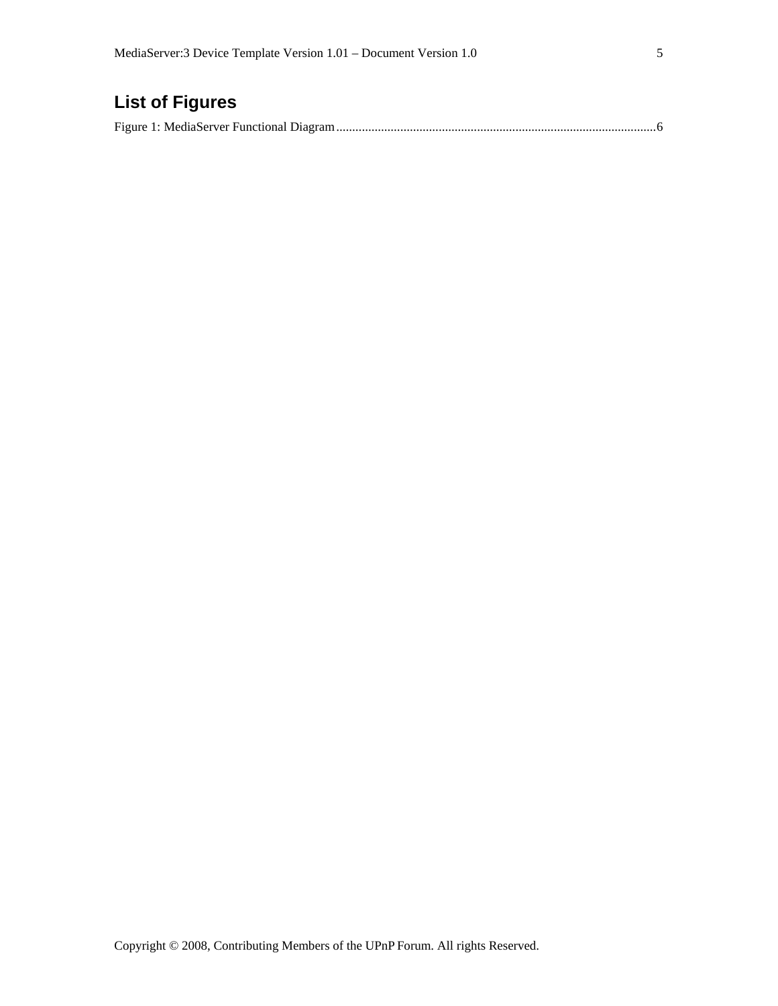# **List of Figures**

|--|--|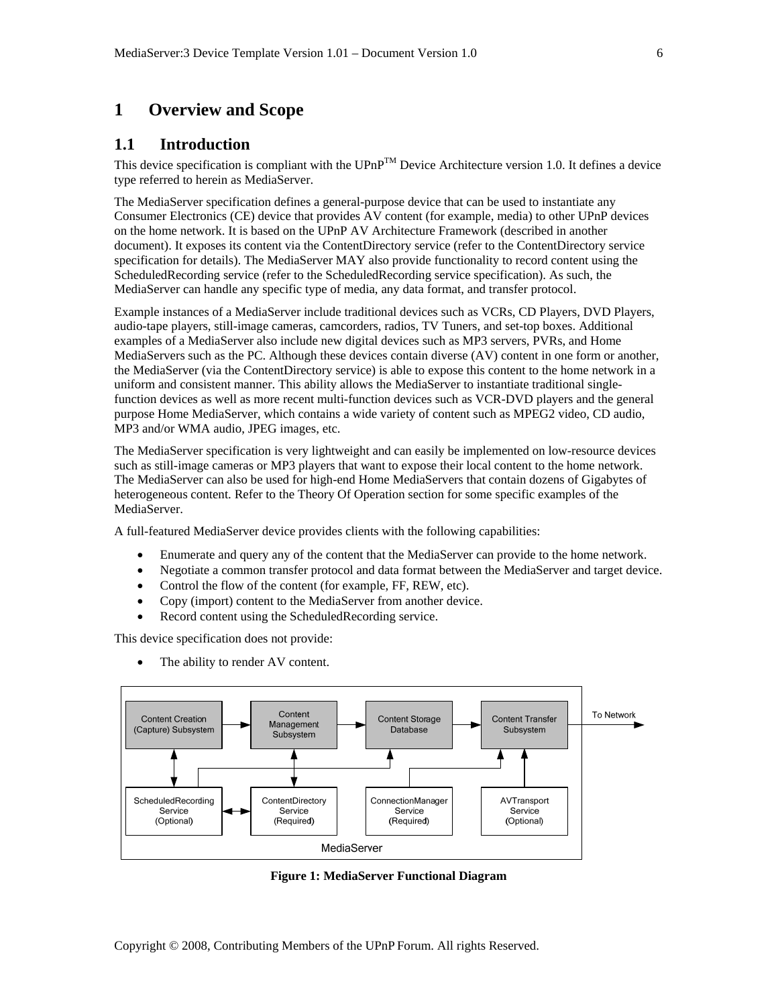# **1 Overview and Scope**

#### **1.1 Introduction**

This device specification is compliant with the  $UPnP^TM$  Device Architecture version 1.0. It defines a device type referred to herein as MediaServer.

The MediaServer specification defines a general-purpose device that can be used to instantiate any Consumer Electronics (CE) device that provides AV content (for example, media) to other UPnP devices on the home network. It is based on the UPnP AV Architecture Framework (described in another document). It exposes its content via the ContentDirectory service (refer to the ContentDirectory service specification for details). The MediaServer MAY also provide functionality to record content using the ScheduledRecording service (refer to the ScheduledRecording service specification). As such, the MediaServer can handle any specific type of media, any data format, and transfer protocol.

Example instances of a MediaServer include traditional devices such as VCRs, CD Players, DVD Players, audio-tape players, still-image cameras, camcorders, radios, TV Tuners, and set-top boxes. Additional examples of a MediaServer also include new digital devices such as MP3 servers, PVRs, and Home MediaServers such as the PC. Although these devices contain diverse (AV) content in one form or another, the MediaServer (via the ContentDirectory service) is able to expose this content to the home network in a uniform and consistent manner. This ability allows the MediaServer to instantiate traditional singlefunction devices as well as more recent multi-function devices such as VCR-DVD players and the general purpose Home MediaServer, which contains a wide variety of content such as MPEG2 video, CD audio, MP3 and/or WMA audio, JPEG images, etc.

The MediaServer specification is very lightweight and can easily be implemented on low-resource devices such as still-image cameras or MP3 players that want to expose their local content to the home network. The MediaServer can also be used for high-end Home MediaServers that contain dozens of Gigabytes of heterogeneous content. Refer to the Theory Of Operation section for some specific examples of the MediaServer.

A full-featured MediaServer device provides clients with the following capabilities:

- Enumerate and query any of the content that the MediaServer can provide to the home network.
- Negotiate a common transfer protocol and data format between the MediaServer and target device.
- Control the flow of the content (for example, FF, REW, etc).
- Copy (import) content to the MediaServer from another device.
- Record content using the ScheduledRecording service.

This device specification does not provide:

The ability to render AV content.



**Figure 1: MediaServer Functional Diagram**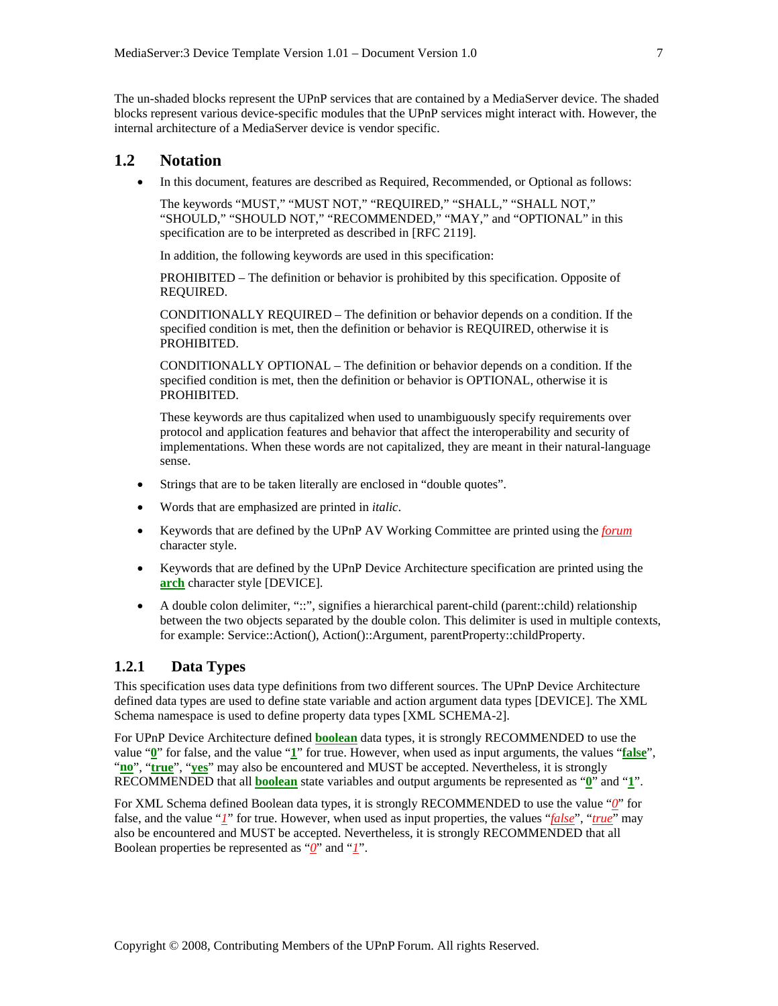The un-shaded blocks represent the UPnP services that are contained by a MediaServer device. The shaded blocks represent various device-specific modules that the UPnP services might interact with. However, the internal architecture of a MediaServer device is vendor specific.

# **1.2 Notation**

• In this document, features are described as Required, Recommended, or Optional as follows:

The keywords "MUST," "MUST NOT," "REQUIRED," "SHALL," "SHALL NOT," "SHOULD," "SHOULD NOT," "RECOMMENDED," "MAY," and "OPTIONAL" in this specification are to be interpreted as described in [RFC 2119].

In addition, the following keywords are used in this specification:

PROHIBITED – The definition or behavior is prohibited by this specification. Opposite of REQUIRED.

CONDITIONALLY REQUIRED – The definition or behavior depends on a condition. If the specified condition is met, then the definition or behavior is REQUIRED, otherwise it is PROHIBITED.

CONDITIONALLY OPTIONAL – The definition or behavior depends on a condition. If the specified condition is met, then the definition or behavior is OPTIONAL, otherwise it is PROHIBITED.

These keywords are thus capitalized when used to unambiguously specify requirements over protocol and application features and behavior that affect the interoperability and security of implementations. When these words are not capitalized, they are meant in their natural-language sense.

- Strings that are to be taken literally are enclosed in "double quotes".
- Words that are emphasized are printed in *italic*.
- Keywords that are defined by the UPnP AV Working Committee are printed using the *forum* character style.
- Keywords that are defined by the UPnP Device Architecture specification are printed using the **arch** character style [DEVICE].
- A double colon delimiter, "::", signifies a hierarchical parent-child (parent::child) relationship between the two objects separated by the double colon. This delimiter is used in multiple contexts, for example: Service::Action(), Action()::Argument, parentProperty::childProperty.

#### **1.2.1 Data Types**

This specification uses data type definitions from two different sources. The UPnP Device Architecture defined data types are used to define state variable and action argument data types [DEVICE]. The XML Schema namespace is used to define property data types [XML SCHEMA-2].

For UPnP Device Architecture defined **boolean** data types, it is strongly RECOMMENDED to use the value "**0**" for false, and the value "**1**" for true. However, when used as input arguments, the values "**false**", "**no**", "**true**", "**yes**" may also be encountered and MUST be accepted. Nevertheless, it is strongly RECOMMENDED that all **boolean** state variables and output arguments be represented as "**0**" and "**1**".

For XML Schema defined Boolean data types, it is strongly RECOMMENDED to use the value "*0*" for false, and the value "*1*" for true. However, when used as input properties, the values "*false*", "*true*" may also be encountered and MUST be accepted. Nevertheless, it is strongly RECOMMENDED that all Boolean properties be represented as "*0*" and "*1*".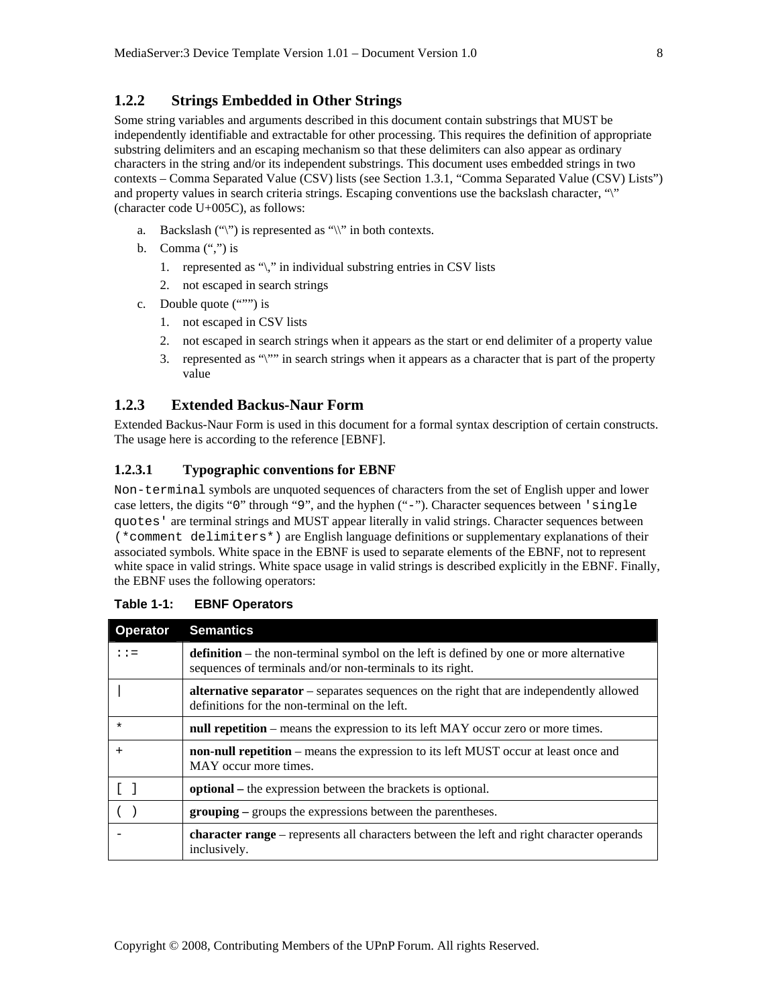#### **1.2.2 Strings Embedded in Other Strings**

Some string variables and arguments described in this document contain substrings that MUST be independently identifiable and extractable for other processing. This requires the definition of appropriate substring delimiters and an escaping mechanism so that these delimiters can also appear as ordinary characters in the string and/or its independent substrings. This document uses embedded strings in two contexts – Comma Separated Value (CSV) lists (see Section 1.3.1, "Comma Separated Value (CSV) Lists") and property values in search criteria strings. Escaping conventions use the backslash character, "\" (character code U+005C), as follows:

- a. Backslash  $(\lq\lq)$  is represented as  $\lq\lq\rq\rq$  in both contexts.
- b. Comma  $(\lq\lq, \lq)$  is
	- 1. represented as "\," in individual substring entries in CSV lists
	- 2. not escaped in search strings
- c. Double quote (""") is
	- 1. not escaped in CSV lists
	- 2. not escaped in search strings when it appears as the start or end delimiter of a property value
	- 3. represented as "\"" in search strings when it appears as a character that is part of the property value

#### **1.2.3 Extended Backus-Naur Form**

Extended Backus-Naur Form is used in this document for a formal syntax description of certain constructs. The usage here is according to the reference [EBNF].

#### **1.2.3.1 Typographic conventions for EBNF**

Non-terminal symbols are unquoted sequences of characters from the set of English upper and lower case letters, the digits "0" through "9", and the hyphen ("-"). Character sequences between 'single quotes' are terminal strings and MUST appear literally in valid strings. Character sequences between (\*comment delimiters\*) are English language definitions or supplementary explanations of their associated symbols. White space in the EBNF is used to separate elements of the EBNF, not to represent white space in valid strings. White space usage in valid strings is described explicitly in the EBNF. Finally, the EBNF uses the following operators:

| <b>Operator</b> | <b>Semantics</b>                                                                                                                                           |  |
|-----------------|------------------------------------------------------------------------------------------------------------------------------------------------------------|--|
| $: : =$         | <b>definition</b> – the non-terminal symbol on the left is defined by one or more alternative<br>sequences of terminals and/or non-terminals to its right. |  |
|                 | <b>alternative separator</b> – separates sequences on the right that are independently allowed<br>definitions for the non-terminal on the left.            |  |
| $\star$         | null repetition – means the expression to its left MAY occur zero or more times.                                                                           |  |
| $\ddot{}$       | non-null repetition – means the expression to its left MUST occur at least once and<br>MAY occur more times.                                               |  |
|                 | <b>optional</b> – the expression between the brackets is optional.                                                                                         |  |
|                 | <b>grouping</b> – groups the expressions between the parentheses.                                                                                          |  |
|                 | <b>character range</b> – represents all characters between the left and right character operands<br>inclusively.                                           |  |

**Table 1-1: EBNF Operators**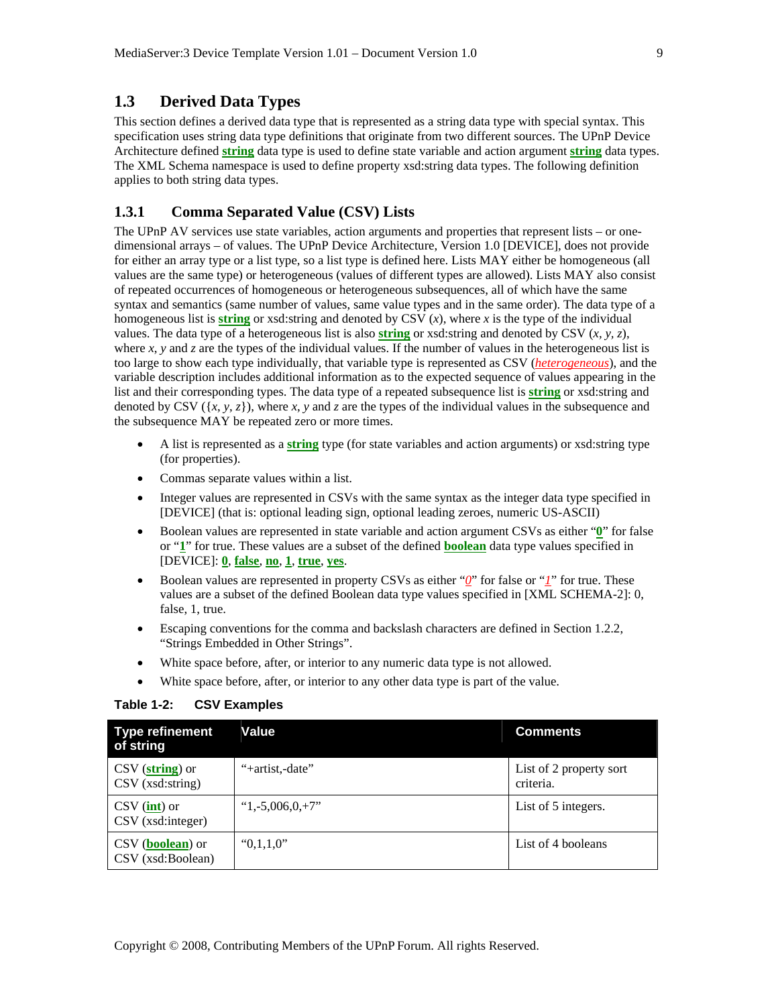# **1.3 Derived Data Types**

This section defines a derived data type that is represented as a string data type with special syntax. This specification uses string data type definitions that originate from two different sources. The UPnP Device Architecture defined **string** data type is used to define state variable and action argument **string** data types. The XML Schema namespace is used to define property xsd:string data types. The following definition applies to both string data types.

#### **1.3.1 Comma Separated Value (CSV) Lists**

The UPnP AV services use state variables, action arguments and properties that represent lists – or onedimensional arrays – of values. The UPnP Device Architecture, Version 1.0 [DEVICE], does not provide for either an array type or a list type, so a list type is defined here. Lists MAY either be homogeneous (all values are the same type) or heterogeneous (values of different types are allowed). Lists MAY also consist of repeated occurrences of homogeneous or heterogeneous subsequences, all of which have the same syntax and semantics (same number of values, same value types and in the same order). The data type of a homogeneous list is **string** or xsd: string and denoted by CSV  $(x)$ , where x is the type of the individual values. The data type of a heterogeneous list is also **string** or xsd:string and denoted by CSV (*x, y, z*), where  $x$ ,  $y$  and  $z$  are the types of the individual values. If the number of values in the heterogeneous list is too large to show each type individually, that variable type is represented as CSV (*heterogeneous*), and the variable description includes additional information as to the expected sequence of values appearing in the list and their corresponding types. The data type of a repeated subsequence list is **string** or xsd:string and denoted by CSV  $({x, y, z})$ , where *x*, *y* and *z* are the types of the individual values in the subsequence and the subsequence MAY be repeated zero or more times.

- A list is represented as a **string** type (for state variables and action arguments) or xsd:string type (for properties).
- Commas separate values within a list.
- Integer values are represented in CSVs with the same syntax as the integer data type specified in [DEVICE] (that is: optional leading sign, optional leading zeroes, numeric US-ASCII)
- Boolean values are represented in state variable and action argument CSVs as either "**0**" for false or "**1**" for true. These values are a subset of the defined **boolean** data type values specified in [DEVICE]: **0**, **false**, **no**, **1**, **true**, **yes**.
- Boolean values are represented in property CSVs as either "*0*" for false or "*1*" for true. These values are a subset of the defined Boolean data type values specified in [XML SCHEMA-2]: 0, false, 1, true.
- Escaping conventions for the comma and backslash characters are defined in Section 1.2.2, "Strings Embedded in Other Strings".
- White space before, after, or interior to any numeric data type is not allowed.
- White space before, after, or interior to any other data type is part of the value.

| <b>Type refinement</b><br>of string                       | Value                     | <b>Comments</b>                      |
|-----------------------------------------------------------|---------------------------|--------------------------------------|
| CSV (string) or<br>$\text{CSV (xsd:string)}$              | "+artist.-date"           | List of 2 property sort<br>criteria. |
| $\frac{CSV}{\text{int}}$ or<br>$\text{CSV (xsd:integer)}$ | $^{\circ}1, -5,006,0,+7"$ | List of 5 integers.                  |
| CSV (boolean) or<br>CSV (xsd:Boolean)                     | "0,1,1,0"                 | List of 4 booleans                   |

#### **Table 1-2: CSV Examples**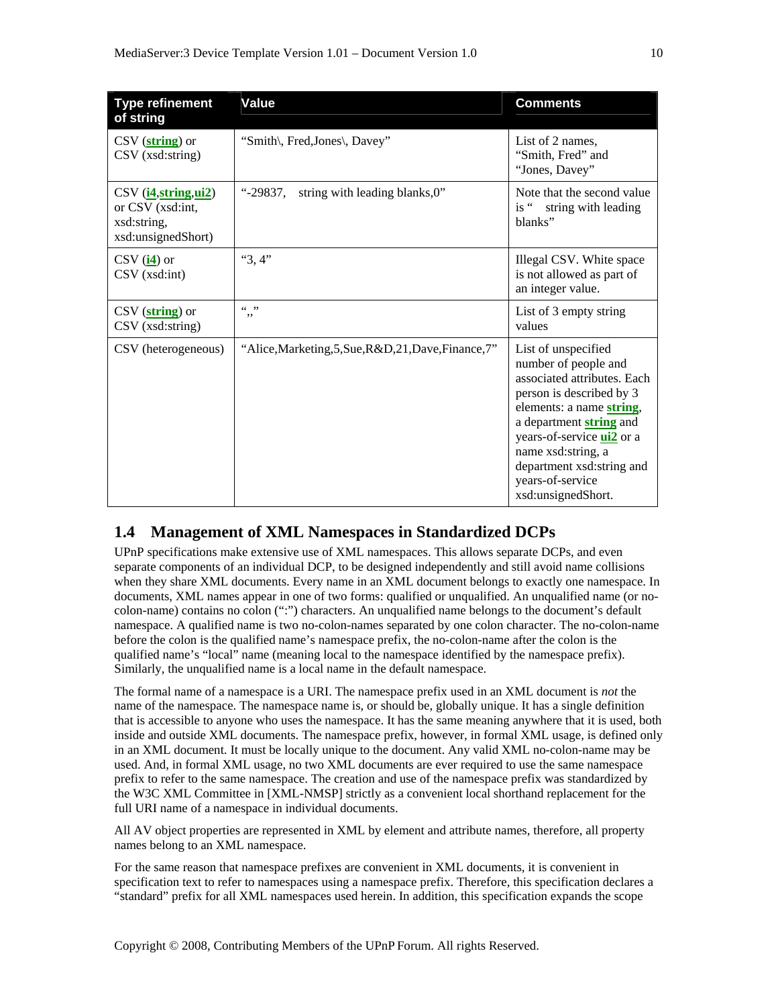| <b>Type refinement</b><br>of string                                                                                                                 | Value                                                 | <b>Comments</b>                                                                                                                                                                                                                                                                                |
|-----------------------------------------------------------------------------------------------------------------------------------------------------|-------------------------------------------------------|------------------------------------------------------------------------------------------------------------------------------------------------------------------------------------------------------------------------------------------------------------------------------------------------|
| $\text{CSV}(\textbf{string})$ or<br>CSV (xsd:string)                                                                                                | "Smith\, Fred, Jones\, Davey"                         | List of 2 names,<br>"Smith, Fred" and<br>"Jones, Davey"                                                                                                                                                                                                                                        |
| $\text{CSV}(\underline{\mathbf{i4}}, \underline{\text{string}}, \underline{\mathbf{ui2}})$<br>or CSV (xsd:int,<br>xsd:string,<br>xsd:unsignedShort) | string with leading blanks, 0"<br>"-29837.            | Note that the second value<br>is "string with leading<br>blanks"                                                                                                                                                                                                                               |
| $\text{CSV}(\underline{\mathbf{i4}})$ or<br>$\text{CSV (xsd:int)}$                                                                                  | "3,4"                                                 | Illegal CSV. White space<br>is not allowed as part of<br>an integer value.                                                                                                                                                                                                                     |
| $\text{CSV}(\textbf{string})$ or<br>$\text{CSV (xsd:string)}$                                                                                       | $66 - 99$<br>,,                                       | List of 3 empty string<br>values                                                                                                                                                                                                                                                               |
| CSV (heterogeneous)                                                                                                                                 | "Alice, Marketing, 5, Sue, R&D, 21, Dave, Finance, 7" | List of unspecified<br>number of people and<br>associated attributes. Each<br>person is described by 3<br>elements: a name string,<br>a department string and<br>years-of-service <b>ui2</b> or a<br>name xsd:string, a<br>department xsd:string and<br>years-of-service<br>xsd:unsignedShort. |

# **1.4 Management of XML Namespaces in Standardized DCPs**

UPnP specifications make extensive use of XML namespaces. This allows separate DCPs, and even separate components of an individual DCP, to be designed independently and still avoid name collisions when they share XML documents. Every name in an XML document belongs to exactly one namespace. In documents, XML names appear in one of two forms: qualified or unqualified. An unqualified name (or nocolon-name) contains no colon (":") characters. An unqualified name belongs to the document's default namespace. A qualified name is two no-colon-names separated by one colon character. The no-colon-name before the colon is the qualified name's namespace prefix, the no-colon-name after the colon is the qualified name's "local" name (meaning local to the namespace identified by the namespace prefix). Similarly, the unqualified name is a local name in the default namespace.

The formal name of a namespace is a URI. The namespace prefix used in an XML document is *not* the name of the namespace. The namespace name is, or should be, globally unique. It has a single definition that is accessible to anyone who uses the namespace. It has the same meaning anywhere that it is used, both inside and outside XML documents. The namespace prefix, however, in formal XML usage, is defined only in an XML document. It must be locally unique to the document. Any valid XML no-colon-name may be used. And, in formal XML usage, no two XML documents are ever required to use the same namespace prefix to refer to the same namespace. The creation and use of the namespace prefix was standardized by the W3C XML Committee in [XML-NMSP] strictly as a convenient local shorthand replacement for the full URI name of a namespace in individual documents.

All AV object properties are represented in XML by element and attribute names, therefore, all property names belong to an XML namespace.

For the same reason that namespace prefixes are convenient in XML documents, it is convenient in specification text to refer to namespaces using a namespace prefix. Therefore, this specification declares a "standard" prefix for all XML namespaces used herein. In addition, this specification expands the scope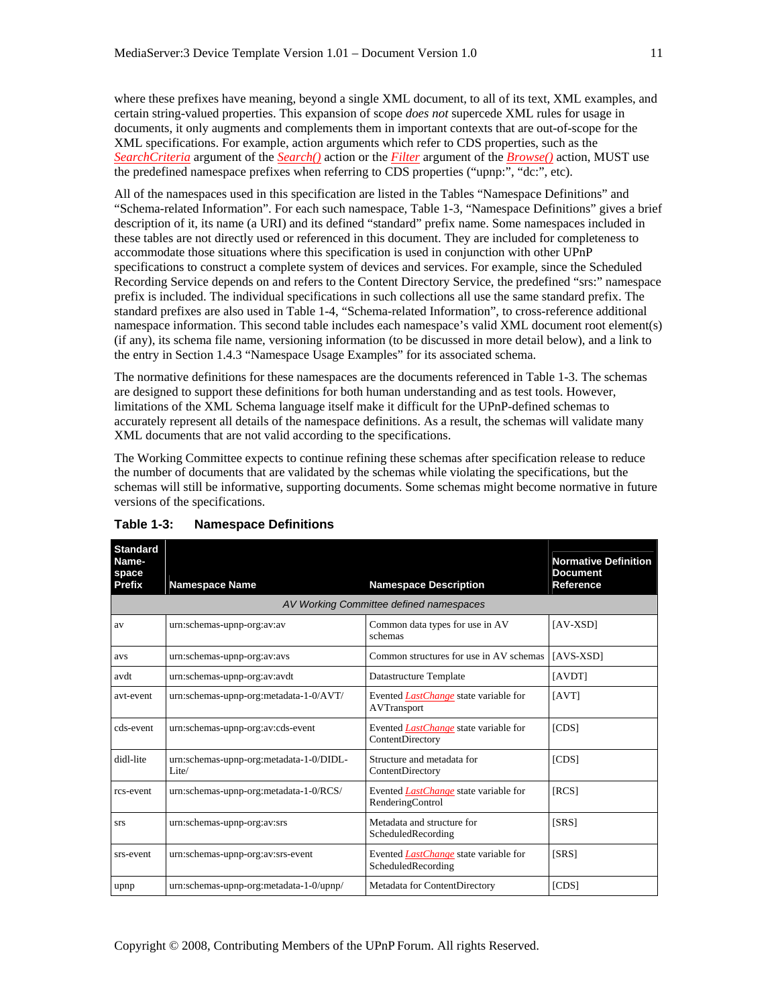where these prefixes have meaning, beyond a single XML document, to all of its text, XML examples, and certain string-valued properties. This expansion of scope *does not* supercede XML rules for usage in documents, it only augments and complements them in important contexts that are out-of-scope for the XML specifications. For example, action arguments which refer to CDS properties, such as the *SearchCriteria* argument of the *Search()* action or the *Filter* argument of the *Browse()* action, MUST use the predefined namespace prefixes when referring to CDS properties ("upnp:", "dc:", etc).

All of the namespaces used in this specification are listed in the Tables "Namespace Definitions" and "Schema-related Information". For each such namespace, Table 1-3, "Namespace Definitions" gives a brief description of it, its name (a URI) and its defined "standard" prefix name. Some namespaces included in these tables are not directly used or referenced in this document. They are included for completeness to accommodate those situations where this specification is used in conjunction with other UPnP specifications to construct a complete system of devices and services. For example, since the Scheduled Recording Service depends on and refers to the Content Directory Service, the predefined "srs:" namespace prefix is included. The individual specifications in such collections all use the same standard prefix. The standard prefixes are also used in Table 1-4, "Schema-related Information", to cross-reference additional namespace information. This second table includes each namespace's valid XML document root element(s) (if any), its schema file name, versioning information (to be discussed in more detail below), and a link to the entry in Section 1.4.3 "Namespace Usage Examples" for its associated schema.

The normative definitions for these namespaces are the documents referenced in Table 1-3. The schemas are designed to support these definitions for both human understanding and as test tools. However, limitations of the XML Schema language itself make it difficult for the UPnP-defined schemas to accurately represent all details of the namespace definitions. As a result, the schemas will validate many XML documents that are not valid according to the specifications.

The Working Committee expects to continue refining these schemas after specification release to reduce the number of documents that are validated by the schemas while violating the specifications, but the schemas will still be informative, supporting documents. Some schemas might become normative in future versions of the specifications.

| <b>Standard</b><br>Name-<br>space |                                                  |                                                                    | <b>Normative Definition</b><br><b>Document</b> |
|-----------------------------------|--------------------------------------------------|--------------------------------------------------------------------|------------------------------------------------|
| Prefix                            | <b>Namespace Name</b>                            | <b>Namespace Description</b>                                       | Reference                                      |
|                                   |                                                  | AV Working Committee defined namespaces                            |                                                |
| av                                | urn:schemas-upnp-org:av:av                       | Common data types for use in AV<br>schemas                         | [AV-XSD]                                       |
| avs                               | urn:schemas-upnp-org:av:avs                      | Common structures for use in AV schemas                            | $[AVS-XSD]$                                    |
| avdt                              | urn:schemas-upnp-org:av:avdt                     | Datastructure Template                                             | [AVDT]                                         |
| avt-event                         | urn:schemas-upnp-org:metadata-1-0/AVT/           | Evented <i>LastChange</i> state variable for<br>AVTransport        | [AVT]                                          |
| cds-event                         | urn:schemas-upnp-org:av:cds-event                | Evented <i>LastChange</i> state variable for<br>ContentDirectory   | [CDS]                                          |
| didl-lite                         | urn:schemas-upnp-org:metadata-1-0/DIDL-<br>Lite/ | Structure and metadata for<br>ContentDirectory                     | [CDS]                                          |
| rcs-event                         | urn:schemas-upnp-org:metadata-1-0/RCS/           | Evented <i>LastChange</i> state variable for<br>RenderingControl   | [RCS]                                          |
| <b>SrS</b>                        | urn:schemas-upnp-org:av:srs                      | Metadata and structure for<br>ScheduledRecording                   | [SRS]                                          |
| srs-event                         | urn:schemas-upnp-org:av:srs-event                | Evented <i>LastChange</i> state variable for<br>ScheduledRecording | [SRS]                                          |
| upnp                              | urn:schemas-upnp-org:metadata-1-0/upnp/          | Metadata for ContentDirectory                                      | [CDS]                                          |

#### **Table 1-3: Namespace Definitions**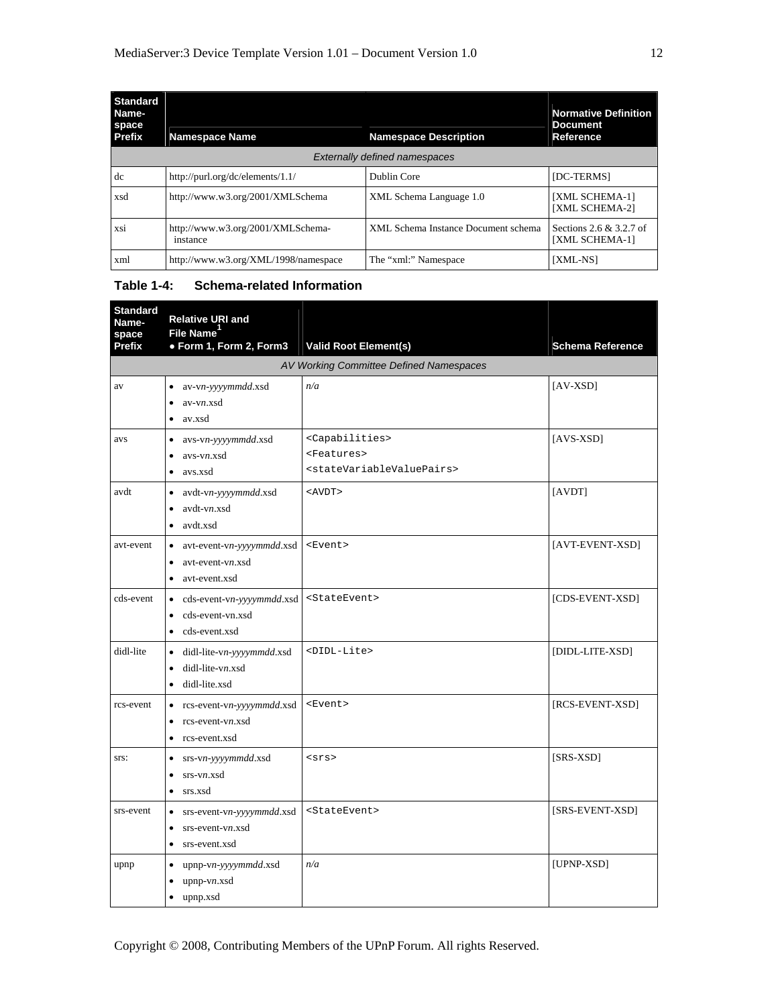| <b>Standard</b><br>Name-<br>space<br><b>Prefix</b> | <b>Namespace Name</b>                         | <b>Namespace Description</b>         | <b>Normative Definition</b><br><b>Document</b><br>Reference |
|----------------------------------------------------|-----------------------------------------------|--------------------------------------|-------------------------------------------------------------|
|                                                    |                                               | <b>Externally defined namespaces</b> |                                                             |
| dc                                                 | http://purl.org/dc/elements/1.1/              | Dublin Core                          | [DC-TERMS]                                                  |
| xsd                                                | http://www.w3.org/2001/XMLSchema              | XML Schema Language 1.0              | [XML SCHEMA-1]<br><b>[XML SCHEMA-2]</b>                     |
| xsi                                                | http://www.w3.org/2001/XMLSchema-<br>instance | XML Schema Instance Document schema  | Sections 2.6 $& 3.2.7$ of<br><b>[XML SCHEMA-1]</b>          |
| xml                                                | http://www.w3.org/XML/1998/namespace          | The "xml:" Namespace                 | [XML-NS]                                                    |

#### **Table 1-4: Schema-related Information**

| <b>Standard</b><br>Name-<br>space | <b>Relative URI and</b><br>File Name <sup>1</sup>                                                        |                                                                                                                 |                         |
|-----------------------------------|----------------------------------------------------------------------------------------------------------|-----------------------------------------------------------------------------------------------------------------|-------------------------|
| Prefix                            | · Form 1, Form 2, Form3                                                                                  | <b>Valid Root Element(s)</b>                                                                                    | <b>Schema Reference</b> |
|                                   |                                                                                                          | AV Working Committee Defined Namespaces                                                                         |                         |
| av                                | av-vn-yyyymmdd.xsd<br>$av-vn.xsd$<br>av.xsd<br>$\bullet$                                                 | n/a                                                                                                             | $[AV-XSD]$              |
| avs                               | avs-vn-yyyymmdd.xsd<br>$\bullet$<br>avs-vn.xsd<br>$\bullet$<br>avs.xsd<br>$\bullet$                      | <capabilities><br/><features><br/><statevariablevaluepairs></statevariablevaluepairs></features></capabilities> | $[AVS-XSD]$             |
| avdt                              | avdt-vn-yyyymmdd.xsd<br>$\bullet$<br>avdt-vn.xsd<br>$\bullet$<br>avdt.xsd<br>$\bullet$                   | $<$ AVDT>                                                                                                       | [AVDT]                  |
| avt-event                         | avt-event-vn-yyyymmdd.xsd<br>$\bullet$<br>avt-event-vn.xsd<br>$\bullet$<br>avt-event.xsd<br>$\bullet$    | <event></event>                                                                                                 | [AVT-EVENT-XSD]         |
| cds-event                         | cds-event-vn-yyyymmdd.xsd<br>$\bullet$<br>cds-event-vn.xsd<br>$\bullet$<br>cds-event.xsd<br>$\bullet$    | <stateevent></stateevent>                                                                                       | [CDS-EVENT-XSD]         |
| didl-lite                         | didl-lite-vn-yyyymmdd.xsd<br>$\bullet$<br>$did$ -lite-vn.xsd<br>$\bullet$<br>didl-lite.xsd<br>$\bullet$  | <didl-lite></didl-lite>                                                                                         | [DIDL-LITE-XSD]         |
| rcs-event                         | rcs-event-vn-yyyymmdd.xsd<br>$\bullet$<br>rcs-event-vn.xsd<br>$\bullet$<br>rcs-event.xsd<br>٠            | <event></event>                                                                                                 | [RCS-EVENT-XSD]         |
| STS:                              | srs-vn-yyyymmdd.xsd<br>$\bullet$<br>$srs-vn.xsd$<br>$\bullet$<br>srs.xsd<br>$\bullet$                    | <srs></srs>                                                                                                     | [SRS-XSD]               |
| srs-event                         | srs-event-vn-yyyymmdd.xsd<br>$\bullet$<br>$srs$ -event-vn.xsd<br>$\bullet$<br>srs-event.xsd<br>$\bullet$ | <stateevent></stateevent>                                                                                       | [SRS-EVENT-XSD]         |
| upnp                              | upnp-vn-yyyymmdd.xsd<br>$\bullet$<br>$upnp-vn.xsd$<br>$\bullet$<br>upnp.xsd<br>$\bullet$                 | n/a                                                                                                             | [UPNP-XSD]              |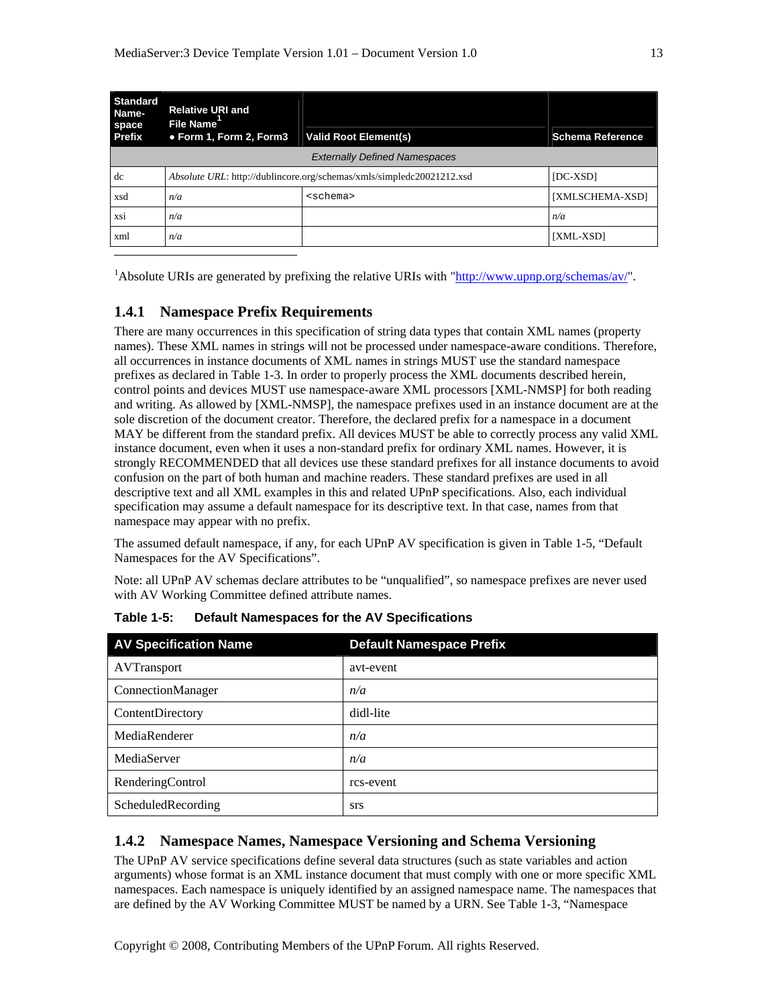| <b>Standard</b><br><b>Relative URI and</b><br>Name-<br><b>File Name</b><br>space |                                                                       |                                      |                         |
|----------------------------------------------------------------------------------|-----------------------------------------------------------------------|--------------------------------------|-------------------------|
| <b>Prefix</b>                                                                    | • Form 1, Form 2, Form3                                               | <b>Valid Root Element(s)</b>         | <b>Schema Reference</b> |
|                                                                                  |                                                                       | <b>Externally Defined Namespaces</b> |                         |
| dc                                                                               | Absolute URL: http://dublincore.org/schemas/xmls/simpledc20021212.xsd |                                      | [DC-XSD]                |
| xsd                                                                              | n/a                                                                   | <schema></schema>                    | [XMLSCHEMA-XSD]         |
| <b>XSI</b>                                                                       | n/a                                                                   |                                      | n/a                     |
| xml                                                                              | n/a                                                                   |                                      | [XML-XSD]               |
|                                                                                  |                                                                       |                                      |                         |

<sup>1</sup>Absolute URIs are generated by prefixing the relative URIs with " $\frac{http://www.upnp.org/schemes/av/"}{http://www.upnp.org/schemes/av/"}.$ 

# **1.4.1 Namespace Prefix Requirements**

There are many occurrences in this specification of string data types that contain XML names (property names). These XML names in strings will not be processed under namespace-aware conditions. Therefore, all occurrences in instance documents of XML names in strings MUST use the standard namespace prefixes as declared in Table 1-3. In order to properly process the XML documents described herein, control points and devices MUST use namespace-aware XML processors [XML-NMSP] for both reading and writing. As allowed by [XML-NMSP], the namespace prefixes used in an instance document are at the sole discretion of the document creator. Therefore, the declared prefix for a namespace in a document MAY be different from the standard prefix. All devices MUST be able to correctly process any valid XML instance document, even when it uses a non-standard prefix for ordinary XML names. However, it is strongly RECOMMENDED that all devices use these standard prefixes for all instance documents to avoid confusion on the part of both human and machine readers. These standard prefixes are used in all descriptive text and all XML examples in this and related UPnP specifications. Also, each individual specification may assume a default namespace for its descriptive text. In that case, names from that namespace may appear with no prefix.

The assumed default namespace, if any, for each UPnP AV specification is given in Table 1-5, "Default Namespaces for the AV Specifications".

Note: all UPnP AV schemas declare attributes to be "unqualified", so namespace prefixes are never used with AV Working Committee defined attribute names.

| <b>AV Specification Name</b> | <b>Default Namespace Prefix</b> |
|------------------------------|---------------------------------|
| AVTransport                  | avt-event                       |
| ConnectionManager            | n/a                             |
| ContentDirectory             | didl-lite                       |
| MediaRenderer                | n/a                             |
| MediaServer                  | n/a                             |
| RenderingControl             | rcs-event                       |
| ScheduledRecording           | <b>STS</b>                      |

**Table 1-5: Default Namespaces for the AV Specifications** 

## **1.4.2 Namespace Names, Namespace Versioning and Schema Versioning**

The UPnP AV service specifications define several data structures (such as state variables and action arguments) whose format is an XML instance document that must comply with one or more specific XML namespaces. Each namespace is uniquely identified by an assigned namespace name. The namespaces that are defined by the AV Working Committee MUST be named by a URN. See Table 1-3, "Namespace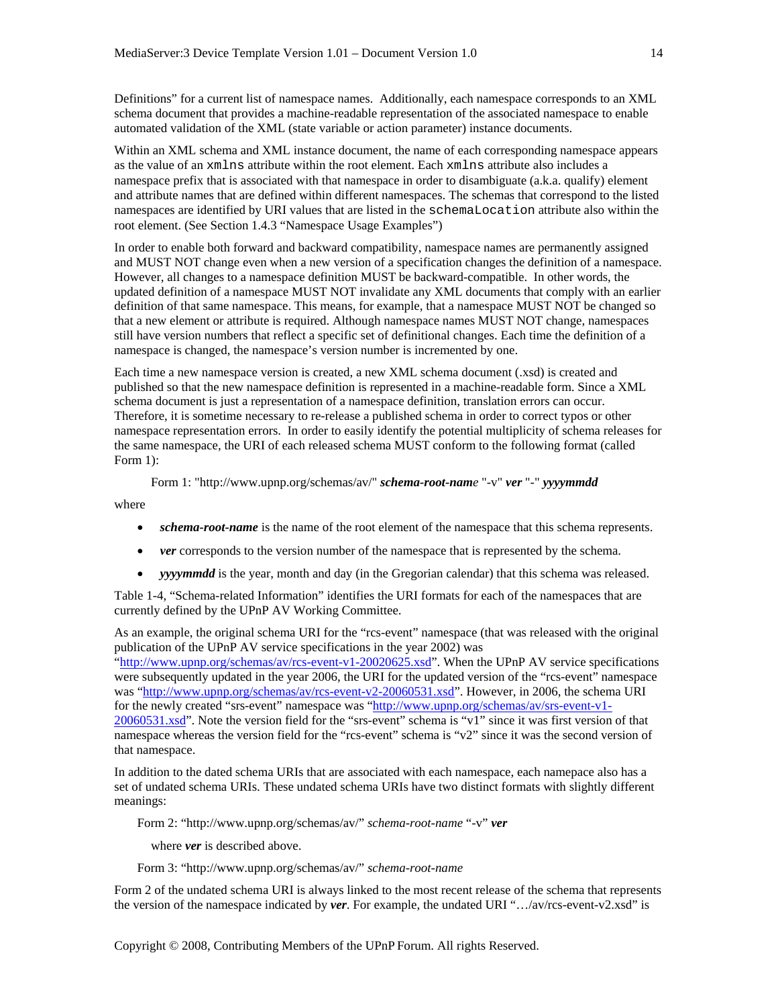Definitions" for a current list of namespace names. Additionally, each namespace corresponds to an XML schema document that provides a machine-readable representation of the associated namespace to enable automated validation of the XML (state variable or action parameter) instance documents.

Within an XML schema and XML instance document, the name of each corresponding namespace appears as the value of an xmlns attribute within the root element. Each xmlns attribute also includes a namespace prefix that is associated with that namespace in order to disambiguate (a.k.a. qualify) element and attribute names that are defined within different namespaces. The schemas that correspond to the listed namespaces are identified by URI values that are listed in the schemaLocation attribute also within the root element. (See Section 1.4.3 "Namespace Usage Examples")

In order to enable both forward and backward compatibility, namespace names are permanently assigned and MUST NOT change even when a new version of a specification changes the definition of a namespace. However, all changes to a namespace definition MUST be backward-compatible. In other words, the updated definition of a namespace MUST NOT invalidate any XML documents that comply with an earlier definition of that same namespace. This means, for example, that a namespace MUST NOT be changed so that a new element or attribute is required. Although namespace names MUST NOT change, namespaces still have version numbers that reflect a specific set of definitional changes. Each time the definition of a namespace is changed, the namespace's version number is incremented by one.

Each time a new namespace version is created, a new XML schema document (.xsd) is created and published so that the new namespace definition is represented in a machine-readable form. Since a XML schema document is just a representation of a namespace definition, translation errors can occur. Therefore, it is sometime necessary to re-release a published schema in order to correct typos or other namespace representation errors. In order to easily identify the potential multiplicity of schema releases for the same namespace, the URI of each released schema MUST conform to the following format (called Form 1):

```
Form 1: "http://www.upnp.org/schemas/av/" schema-root-name "-v" ver "-" yyyymmdd
```
where

- *schema-root-name* is the name of the root element of the namespace that this schema represents.
- *ver* corresponds to the version number of the namespace that is represented by the schema.
- *yyyymmdd* is the year, month and day (in the Gregorian calendar) that this schema was released.

Table 1-4, "Schema-related Information" identifies the URI formats for each of the namespaces that are currently defined by the UPnP AV Working Committee.

As an example, the original schema URI for the "rcs-event" namespace (that was released with the original publication of the UPnP AV service specifications in the year 2002) was

"http://www.upnp.org/schemas/av/rcs-event-v1-20020625.xsd". When the UPnP AV service specifications were subsequently updated in the year 2006, the URI for the updated version of the "rcs-event" namespace was "http://www.upnp.org/schemas/av/rcs-event-v2-20060531.xsd". However, in 2006, the schema URI for the newly created "srs-event" namespace was "http://www.upnp.org/schemas/av/srs-event-v1-20060531.xsd". Note the version field for the "srs-event" schema is "v1" since it was first version of that namespace whereas the version field for the "rcs-event" schema is "v2" since it was the second version of that namespace.

In addition to the dated schema URIs that are associated with each namespace, each namepace also has a set of undated schema URIs. These undated schema URIs have two distinct formats with slightly different meanings:

Form 2: "http://www.upnp.org/schemas/av/" *schema-root-name* "-v" *ver* 

where *ver* is described above.

Form 3: "http://www.upnp.org/schemas/av/" *schema-root-name*

Form 2 of the undated schema URI is always linked to the most recent release of the schema that represents the version of the namespace indicated by *ver*. For example, the undated URI "…/av/rcs-event-v2.xsd" is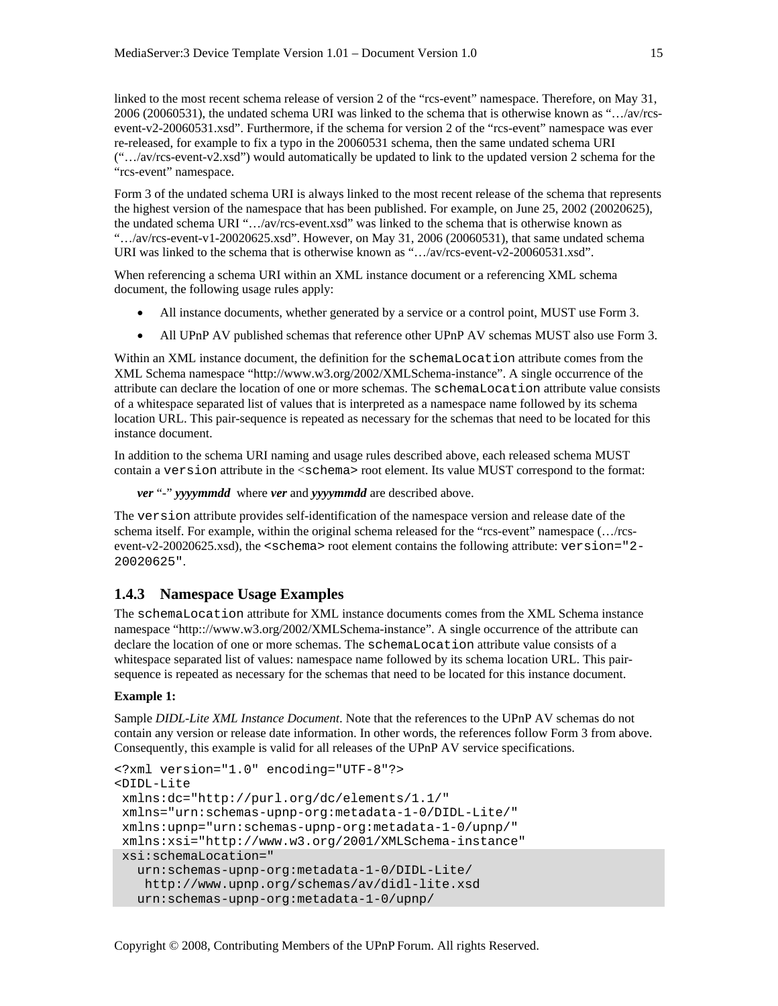linked to the most recent schema release of version 2 of the "rcs-event" namespace. Therefore, on May 31, 2006 (20060531), the undated schema URI was linked to the schema that is otherwise known as "…/av/rcsevent-v2-20060531.xsd". Furthermore, if the schema for version 2 of the "rcs-event" namespace was ever re-released, for example to fix a typo in the 20060531 schema, then the same undated schema URI ("…/av/rcs-event-v2.xsd") would automatically be updated to link to the updated version 2 schema for the "rcs-event" namespace.

Form 3 of the undated schema URI is always linked to the most recent release of the schema that represents the highest version of the namespace that has been published. For example, on June 25, 2002 (20020625), the undated schema URI "…/av/rcs-event.xsd" was linked to the schema that is otherwise known as "…/av/rcs-event-v1-20020625.xsd". However, on May 31, 2006 (20060531), that same undated schema URI was linked to the schema that is otherwise known as "…/av/rcs-event-v2-20060531.xsd".

When referencing a schema URI within an XML instance document or a referencing XML schema document, the following usage rules apply:

- All instance documents, whether generated by a service or a control point, MUST use Form 3.
- All UPnP AV published schemas that reference other UPnP AV schemas MUST also use Form 3.

Within an XML instance document, the definition for the schemaLocation attribute comes from the XML Schema namespace "http://www.w3.org/2002/XMLSchema-instance". A single occurrence of the attribute can declare the location of one or more schemas. The schemaLocation attribute value consists of a whitespace separated list of values that is interpreted as a namespace name followed by its schema location URL. This pair-sequence is repeated as necessary for the schemas that need to be located for this instance document.

In addition to the schema URI naming and usage rules described above, each released schema MUST contain a version attribute in the <schema> root element. Its value MUST correspond to the format:

*ver* "*-*" *yyyymmdd* where *ver* and *yyyymmdd* are described above.

The version attribute provides self-identification of the namespace version and release date of the schema itself. For example, within the original schema released for the "rcs-event" namespace (…/rcsevent-v2-20020625.xsd), the <schema> root element contains the following attribute: version="2- 20020625".

## **1.4.3 Namespace Usage Examples**

The schemaLocation attribute for XML instance documents comes from the XML Schema instance namespace "http:://www.w3.org/2002/XMLSchema-instance". A single occurrence of the attribute can declare the location of one or more schemas. The schemaLocation attribute value consists of a whitespace separated list of values: namespace name followed by its schema location URL. This pairsequence is repeated as necessary for the schemas that need to be located for this instance document.

#### **Example 1:**

Sample *DIDL-Lite XML Instance Document*. Note that the references to the UPnP AV schemas do not contain any version or release date information. In other words, the references follow Form 3 from above. Consequently, this example is valid for all releases of the UPnP AV service specifications.

```
<?xml version="1.0" encoding="UTF-8"?> 
<DIDL-Lite 
 xmlns:dc="http://purl.org/dc/elements/1.1/" 
 xmlns="urn:schemas-upnp-org:metadata-1-0/DIDL-Lite/" 
 xmlns:upnp="urn:schemas-upnp-org:metadata-1-0/upnp/" 
  xmlns:xsi="http://www.w3.org/2001/XMLSchema-instance" 
 xsi:schemaLocation=" 
    urn:schemas-upnp-org:metadata-1-0/DIDL-Lite/ 
    http://www.upnp.org/schemas/av/didl-lite.xsd 
    urn:schemas-upnp-org:metadata-1-0/upnp/
```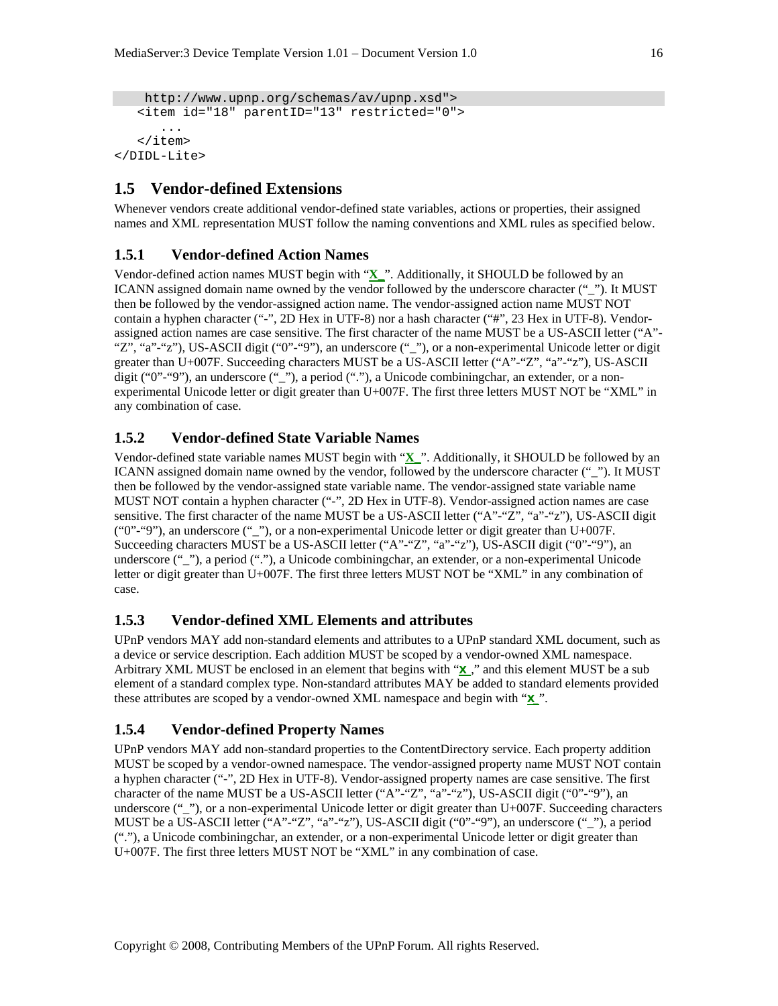```
 http://www.upnp.org/schemas/av/upnp.xsd"> 
    <item id="18" parentID="13" restricted="0"> 
       ... 
    </item> 
</DIDL-Lite>
```
# **1.5 Vendor-defined Extensions**

Whenever vendors create additional vendor-defined state variables, actions or properties, their assigned names and XML representation MUST follow the naming conventions and XML rules as specified below.

#### **1.5.1 Vendor-defined Action Names**

Vendor-defined action names MUST begin with "**X\_**". Additionally, it SHOULD be followed by an ICANN assigned domain name owned by the vendor followed by the underscore character (""). It MUST then be followed by the vendor-assigned action name. The vendor-assigned action name MUST NOT contain a hyphen character ("-", 2D Hex in UTF-8) nor a hash character ("#", 23 Hex in UTF-8). Vendorassigned action names are case sensitive. The first character of the name MUST be a US-ASCII letter ("A"- "Z", "a"-"z"), US-ASCII digit ("0"-"9"), an underscore ("\_"), or a non-experimental Unicode letter or digit greater than U+007F. Succeeding characters MUST be a US-ASCII letter ("A"-"Z", "a"-"z"), US-ASCII digit ("0"-"9"), an underscore ("\_"), a period ("."), a Unicode combiningchar, an extender, or a nonexperimental Unicode letter or digit greater than U+007F. The first three letters MUST NOT be "XML" in any combination of case.

## **1.5.2 Vendor-defined State Variable Names**

Vendor-defined state variable names MUST begin with "**X\_**". Additionally, it SHOULD be followed by an ICANN assigned domain name owned by the vendor, followed by the underscore character (""). It MUST then be followed by the vendor-assigned state variable name. The vendor-assigned state variable name MUST NOT contain a hyphen character ("-", 2D Hex in UTF-8). Vendor-assigned action names are case sensitive. The first character of the name MUST be a US-ASCII letter ("A"-"Z", "a"-"z"), US-ASCII digit ("0"-"9"), an underscore ("\_"), or a non-experimental Unicode letter or digit greater than U+007F. Succeeding characters MUST be a US-ASCII letter ("A"-"Z", "a"-"z"), US-ASCII digit ("0"-"9"), an underscore (""), a period ("."), a Unicode combiningchar, an extender, or a non-experimental Unicode letter or digit greater than U+007F. The first three letters MUST NOT be "XML" in any combination of case.

#### **1.5.3 Vendor-defined XML Elements and attributes**

UPnP vendors MAY add non-standard elements and attributes to a UPnP standard XML document, such as a device or service description. Each addition MUST be scoped by a vendor-owned XML namespace. Arbitrary XML MUST be enclosed in an element that begins with "**X\_**," and this element MUST be a sub element of a standard complex type. Non-standard attributes MAY be added to standard elements provided these attributes are scoped by a vendor-owned XML namespace and begin with "**X\_**".

## **1.5.4 Vendor-defined Property Names**

UPnP vendors MAY add non-standard properties to the ContentDirectory service. Each property addition MUST be scoped by a vendor-owned namespace. The vendor-assigned property name MUST NOT contain a hyphen character ("-", 2D Hex in UTF-8). Vendor-assigned property names are case sensitive. The first character of the name MUST be a US-ASCII letter ("A"-"Z", "a"-"z"), US-ASCII digit ("0"-"9"), an underscore ("\_"), or a non-experimental Unicode letter or digit greater than U+007F. Succeeding characters MUST be a US-ASCII letter ("A"-"Z", "a"-"z"), US-ASCII digit ("0"-"9"), an underscore ("\_"), a period ("."), a Unicode combiningchar, an extender, or a non-experimental Unicode letter or digit greater than U+007F. The first three letters MUST NOT be "XML" in any combination of case.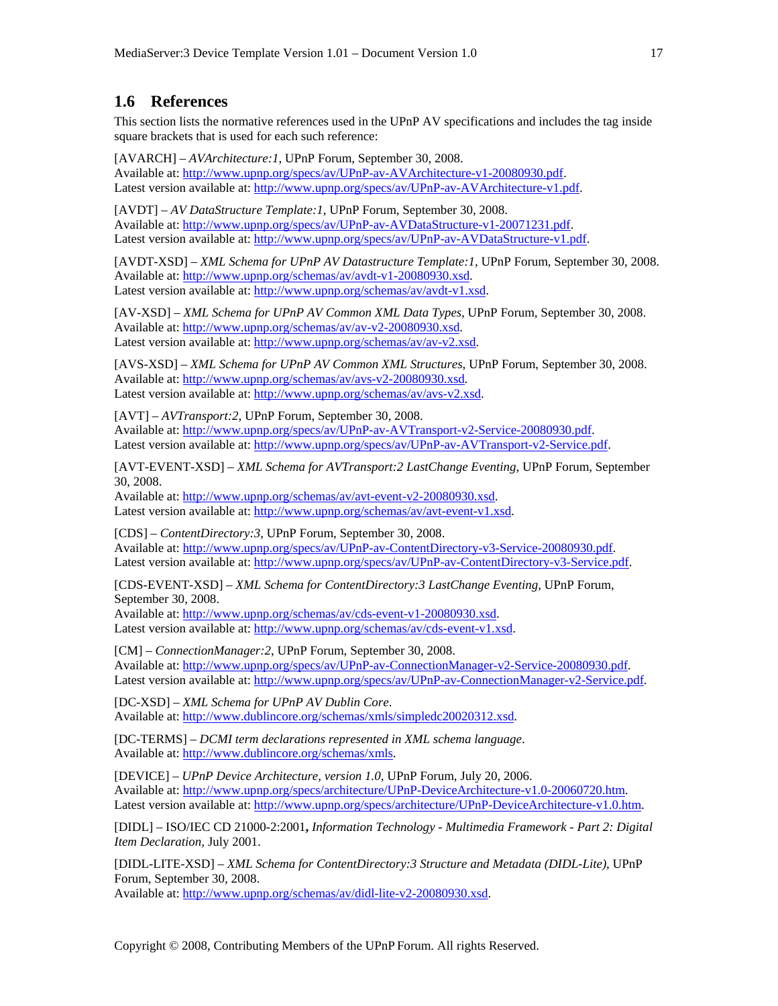# **1.6 References**

This section lists the normative references used in the UPnP AV specifications and includes the tag inside square brackets that is used for each such reference:

[AVARCH] – *AVArchitecture:1*, UPnP Forum, September 30, 2008. Available at: http://www.upnp.org/specs/av/UPnP-av-AVArchitecture-v1-20080930.pdf. Latest version available at: http://www.upnp.org/specs/av/UPnP-av-AVArchitecture-v1.pdf.

[AVDT] – *AV DataStructure Template:1*, UPnP Forum, September 30, 2008. Available at: http://www.upnp.org/specs/av/UPnP-av-AVDataStructure-v1-20071231.pdf. Latest version available at: http://www.upnp.org/specs/av/UPnP-av-AVDataStructure-v1.pdf.

[AVDT-XSD] – *XML Schema for UPnP AV Datastructure Template:1*, UPnP Forum, September 30, 2008. Available at: http://www.upnp.org/schemas/av/avdt-v1-20080930.xsd. Latest version available at: http://www.upnp.org/schemas/av/avdt-v1.xsd.

[AV-XSD] – *XML Schema for UPnP AV Common XML Data Types*, UPnP Forum, September 30, 2008. Available at: http://www.upnp.org/schemas/av/av-v2-20080930.xsd. Latest version available at: http://www.upnp.org/schemas/av/av-v2.xsd.

[AVS-XSD] – *XML Schema for UPnP AV Common XML Structures*, UPnP Forum, September 30, 2008. Available at: http://www.upnp.org/schemas/av/avs-v2-20080930.xsd. Latest version available at: http://www.upnp.org/schemas/av/avs-v2.xsd.

[AVT] – *AVTransport:2*, UPnP Forum, September 30, 2008. Available at: http://www.upnp.org/specs/av/UPnP-av-AVTransport-v2-Service-20080930.pdf. Latest version available at: http://www.upnp.org/specs/av/UPnP-av-AVTransport-v2-Service.pdf.

[AVT-EVENT-XSD] – *XML Schema for AVTransport:2 LastChange Eventing*, UPnP Forum, September 30, 2008.

Available at: http://www.upnp.org/schemas/av/avt-event-v2-20080930.xsd. Latest version available at: http://www.upnp.org/schemas/av/avt-event-v1.xsd.

[CDS] – *ContentDirectory:3*, UPnP Forum, September 30, 2008. Available at: http://www.upnp.org/specs/av/UPnP-av-ContentDirectory-v3-Service-20080930.pdf. Latest version available at: http://www.upnp.org/specs/av/UPnP-av-ContentDirectory-v3-Service.pdf.

[CDS-EVENT-XSD] – *XML Schema for ContentDirectory:3 LastChange Eventing*, UPnP Forum, September 30, 2008.

Available at: http://www.upnp.org/schemas/av/cds-event-v1-20080930.xsd. Latest version available at: http://www.upnp.org/schemas/av/cds-event-v1.xsd.

[CM] – *ConnectionManager:2*, UPnP Forum, September 30, 2008. Available at: http://www.upnp.org/specs/av/UPnP-av-ConnectionManager-v2-Service-20080930.pdf. Latest version available at: http://www.upnp.org/specs/av/UPnP-av-ConnectionManager-v2-Service.pdf.

[DC-XSD] – *XML Schema for UPnP AV Dublin Core*. Available at: http://www.dublincore.org/schemas/xmls/simpledc20020312.xsd.

[DC-TERMS] – *DCMI term declarations represented in XML schema language*. Available at: http://www.dublincore.org/schemas/xmls.

[DEVICE] – *UPnP Device Architecture, version 1.0*, UPnP Forum, July 20, 2006. Available at: http://www.upnp.org/specs/architecture/UPnP-DeviceArchitecture-v1.0-20060720.htm. Latest version available at: http://www.upnp.org/specs/architecture/UPnP-DeviceArchitecture-v1.0.htm.

[DIDL] – ISO/IEC CD 21000-2:2001**,** *Information Technology - Multimedia Framework - Part 2: Digital Item Declaration,* July 2001.

[DIDL-LITE-XSD] – *XML Schema for ContentDirectory:3 Structure and Metadata (DIDL-Lite)*, UPnP Forum, September 30, 2008. Available at: http://www.upnp.org/schemas/av/didl-lite-v2-20080930.xsd.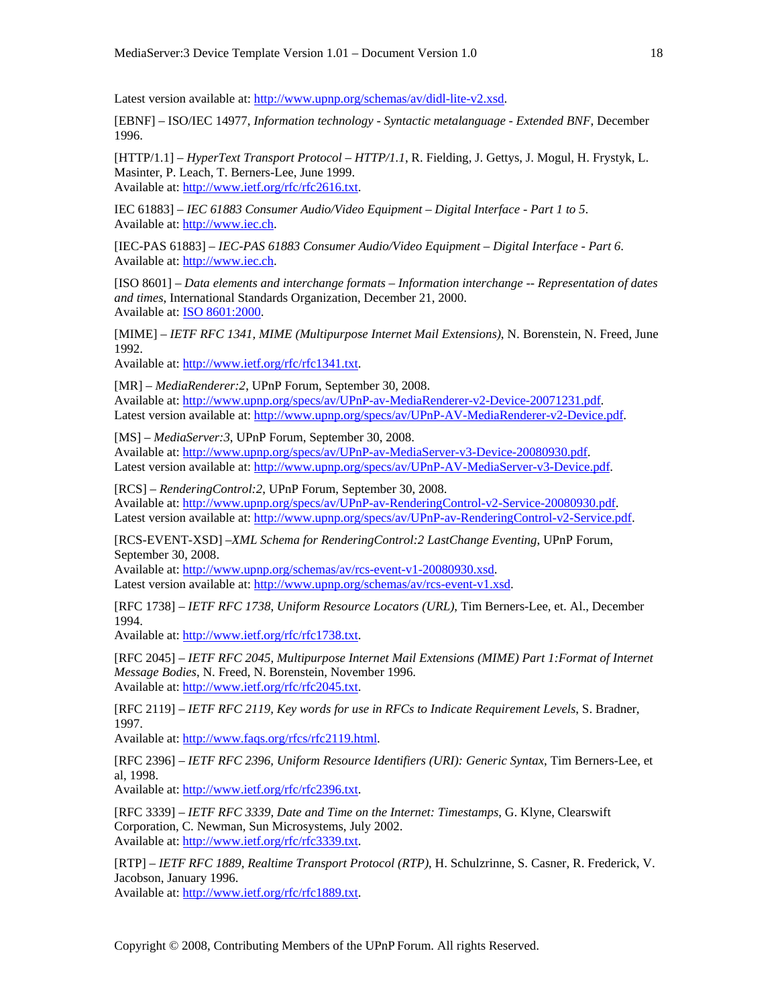Latest version available at: http://www.upnp.org/schemas/av/didl-lite-v2.xsd.

[EBNF] – ISO/IEC 14977, *Information technology - Syntactic metalanguage - Extended BNF*, December 1996.

[HTTP/1.1] – *HyperText Transport Protocol – HTTP/1.1*, R. Fielding, J. Gettys, J. Mogul, H. Frystyk, L. Masinter, P. Leach, T. Berners-Lee, June 1999. Available at: http://www.ietf.org/rfc/rfc2616.txt.

IEC 61883] – *IEC 61883 Consumer Audio/Video Equipment – Digital Interface - Part 1 to 5*. Available at: http://www.iec.ch.

[IEC-PAS 61883] – *IEC-PAS 61883 Consumer Audio/Video Equipment – Digital Interface - Part 6*. Available at: http://www.iec.ch.

[ISO 8601] – *Data elements and interchange formats – Information interchange -- Representation of dates and times*, International Standards Organization, December 21, 2000. Available at: ISO 8601:2000.

[MIME] – *IETF RFC 1341, MIME (Multipurpose Internet Mail Extensions)*, N. Borenstein, N. Freed, June 1992.

Available at: http://www.ietf.org/rfc/rfc1341.txt.

[MR] – *MediaRenderer:2*, UPnP Forum, September 30, 2008. Available at: http://www.upnp.org/specs/av/UPnP-av-MediaRenderer-v2-Device-20071231.pdf. Latest version available at: http://www.upnp.org/specs/av/UPnP-AV-MediaRenderer-v2-Device.pdf.

[MS] – *MediaServer:3*, UPnP Forum, September 30, 2008. Available at: http://www.upnp.org/specs/av/UPnP-av-MediaServer-v3-Device-20080930.pdf. Latest version available at: http://www.upnp.org/specs/av/UPnP-AV-MediaServer-v3-Device.pdf.

[RCS] – *RenderingControl:2*, UPnP Forum, September 30, 2008. Available at: http://www.upnp.org/specs/av/UPnP-av-RenderingControl-v2-Service-20080930.pdf. Latest version available at: http://www.upnp.org/specs/av/UPnP-av-RenderingControl-v2-Service.pdf.

[RCS-EVENT-XSD] –*XML Schema for RenderingControl:2 LastChange Eventing*, UPnP Forum, September 30, 2008.

Available at: http://www.upnp.org/schemas/av/rcs-event-v1-20080930.xsd. Latest version available at: http://www.upnp.org/schemas/av/rcs-event-v1.xsd.

[RFC 1738] – *IETF RFC 1738*, *Uniform Resource Locators (URL)*, Tim Berners-Lee, et. Al., December 1994.

Available at: http://www.ietf.org/rfc/rfc1738.txt.

[RFC 2045] – *IETF RFC 2045*, *Multipurpose Internet Mail Extensions (MIME) Part 1:Format of Internet Message Bodies*, N. Freed, N. Borenstein, November 1996. Available at: http://www.ietf.org/rfc/rfc2045.txt.

[RFC 2119] – *IETF RFC 2119, Key words for use in RFCs to Indicate Requirement Levels*, S. Bradner, 1997.

Available at: http://www.faqs.org/rfcs/rfc2119.html.

[RFC 2396] – *IETF RFC 2396, Uniform Resource Identifiers (URI): Generic Syntax*, Tim Berners-Lee, et al, 1998.

Available at: http://www.ietf.org/rfc/rfc2396.txt.

[RFC 3339] – *IETF RFC 3339, Date and Time on the Internet: Timestamps*, G. Klyne, Clearswift Corporation, C. Newman, Sun Microsystems, July 2002. Available at: http://www.ietf.org/rfc/rfc3339.txt.

[RTP] – *IETF RFC 1889, Realtime Transport Protocol (RTP)*, H. Schulzrinne, S. Casner, R. Frederick, V. Jacobson, January 1996.

Available at: http://www.ietf.org/rfc/rfc1889.txt.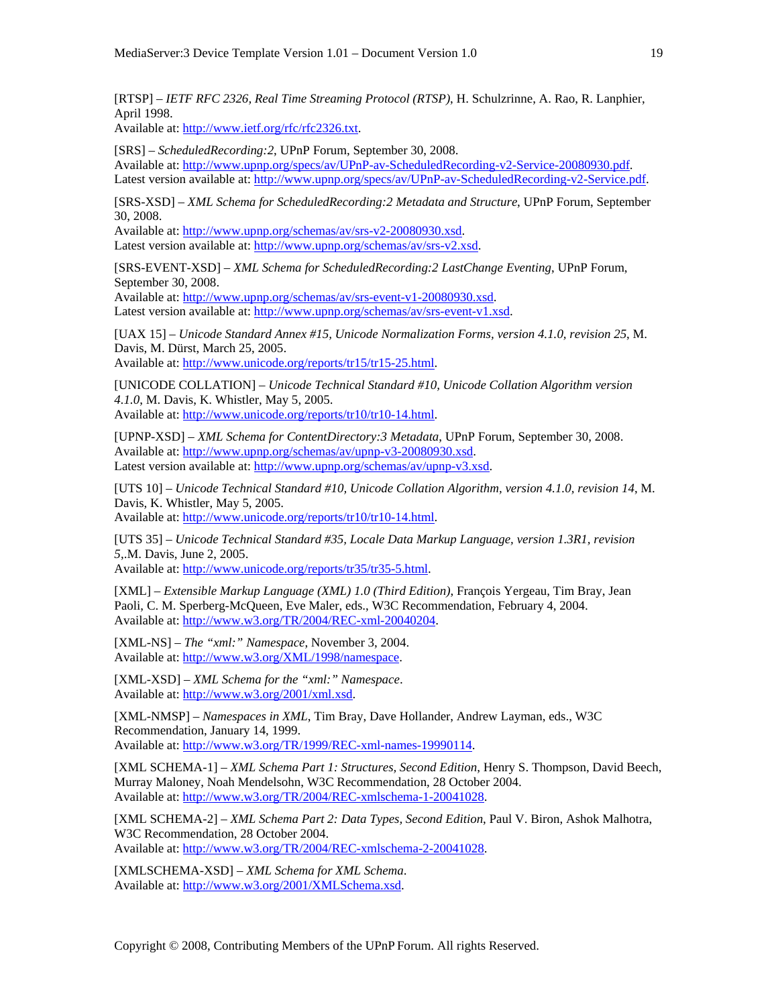[RTSP] – *IETF RFC 2326, Real Time Streaming Protocol (RTSP)*, H. Schulzrinne, A. Rao, R. Lanphier, April 1998.

Available at: http://www.ietf.org/rfc/rfc2326.txt.

[SRS] – *ScheduledRecording:2*, UPnP Forum, September 30, 2008. Available at: http://www.upnp.org/specs/av/UPnP-av-ScheduledRecording-v2-Service-20080930.pdf. Latest version available at: http://www.upnp.org/specs/av/UPnP-av-ScheduledRecording-v2-Service.pdf.

[SRS-XSD] – *XML Schema for ScheduledRecording:2 Metadata and Structure*, UPnP Forum, September 30, 2008.

Available at: http://www.upnp.org/schemas/av/srs-v2-20080930.xsd. Latest version available at: http://www.upnp.org/schemas/av/srs-v2.xsd.

[SRS-EVENT-XSD] – *XML Schema for ScheduledRecording:2 LastChange Eventing*, UPnP Forum, September 30, 2008.

Available at: http://www.upnp.org/schemas/av/srs-event-v1-20080930.xsd. Latest version available at: http://www.upnp.org/schemas/av/srs-event-v1.xsd.

[UAX 15] – *Unicode Standard Annex #15, Unicode Normalization Forms, version 4.1.0, revision 25*, M. Davis, M. Dürst, March 25, 2005.

Available at: http://www.unicode.org/reports/tr15/tr15-25.html.

[UNICODE COLLATION] – *Unicode Technical Standard #10, Unicode Collation Algorithm version 4.1.0*, M. Davis, K. Whistler, May 5, 2005.

Available at: http://www.unicode.org/reports/tr10/tr10-14.html.

[UPNP-XSD] – *XML Schema for ContentDirectory:3 Metadata*, UPnP Forum, September 30, 2008. Available at: http://www.upnp.org/schemas/av/upnp-v3-20080930.xsd. Latest version available at: http://www.upnp.org/schemas/av/upnp-v3.xsd.

[UTS 10] – *Unicode Technical Standard #10, Unicode Collation Algorithm, version 4.1.0, revision 14*, M. Davis, K. Whistler, May 5, 2005.

Available at: http://www.unicode.org/reports/tr10/tr10-14.html.

[UTS 35] – *Unicode Technical Standard #35, Locale Data Markup Language, version 1.3R1, revision 5*,.M. Davis, June 2, 2005.

Available at: http://www.unicode.org/reports/tr35/tr35-5.html.

[XML] – *Extensible Markup Language (XML) 1.0 (Third Edition)*, François Yergeau, Tim Bray, Jean Paoli, C. M. Sperberg-McQueen, Eve Maler, eds., W3C Recommendation, February 4, 2004. Available at: http://www.w3.org/TR/2004/REC-xml-20040204.

[XML-NS] – *The "xml:" Namespace*, November 3, 2004. Available at: http://www.w3.org/XML/1998/namespace.

[XML-XSD] – *XML Schema for the "xml:" Namespace*. Available at: http://www.w3.org/2001/xml.xsd.

[XML-NMSP] – *Namespaces in XML*, Tim Bray, Dave Hollander, Andrew Layman, eds., W3C Recommendation, January 14, 1999. Available at: http://www.w3.org/TR/1999/REC-xml-names-19990114.

[XML SCHEMA-1] – *XML Schema Part 1: Structures, Second Edition*, Henry S. Thompson, David Beech, Murray Maloney, Noah Mendelsohn, W3C Recommendation, 28 October 2004. Available at: http://www.w3.org/TR/2004/REC-xmlschema-1-20041028.

[XML SCHEMA-2] – *XML Schema Part 2: Data Types, Second Edition*, Paul V. Biron, Ashok Malhotra, W3C Recommendation, 28 October 2004. Available at: http://www.w3.org/TR/2004/REC-xmlschema-2-20041028.

[XMLSCHEMA-XSD] – *XML Schema for XML Schema*. Available at: http://www.w3.org/2001/XMLSchema.xsd.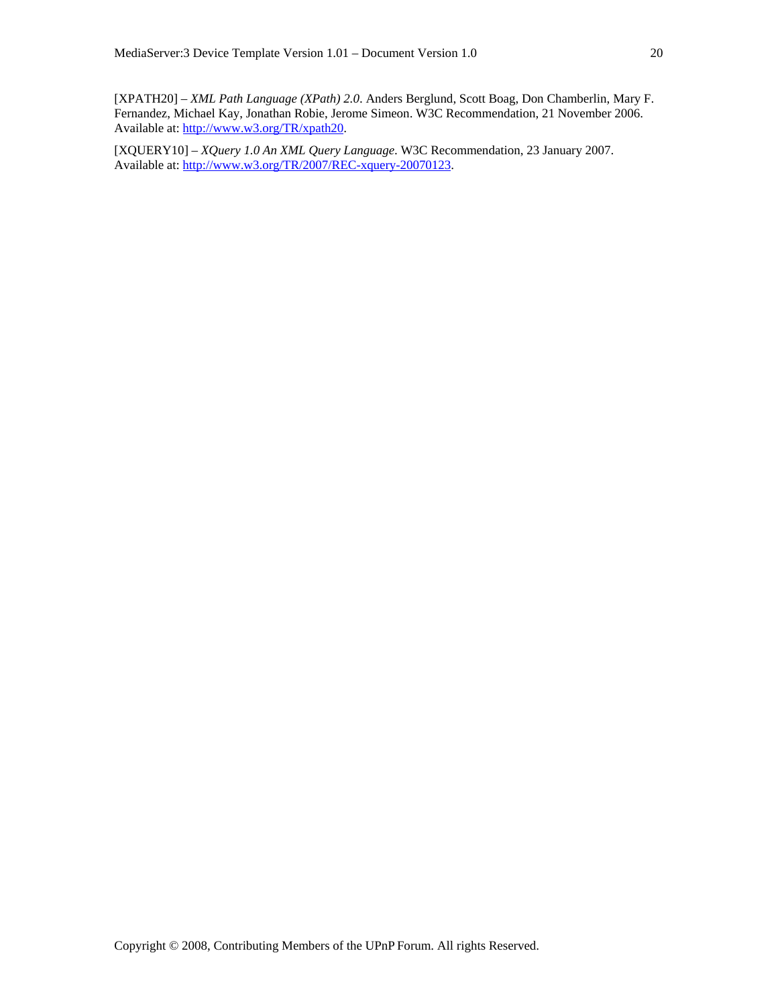[XPATH20] – *XML Path Language (XPath) 2.0*. Anders Berglund, Scott Boag, Don Chamberlin, Mary F. Fernandez, Michael Kay, Jonathan Robie, Jerome Simeon. W3C Recommendation, 21 November 2006. Available at: http://www.w3.org/TR/xpath20.

[XQUERY10] – *XQuery 1.0 An XML Query Language*. W3C Recommendation, 23 January 2007. Available at: http://www.w3.org/TR/2007/REC-xquery-20070123.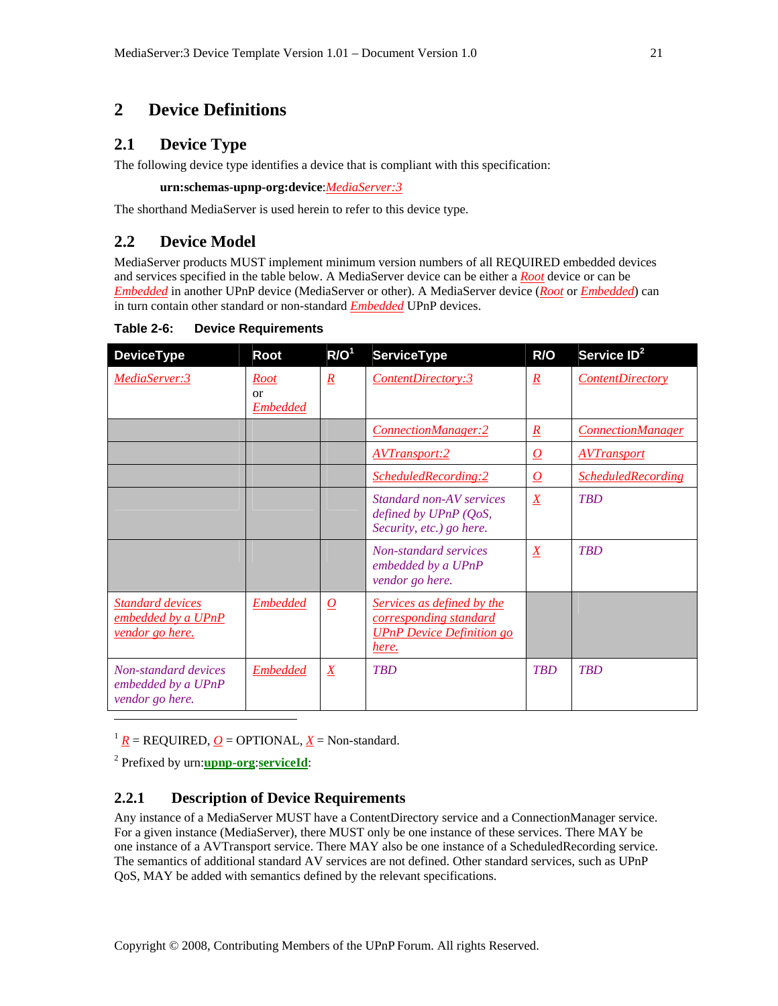# **2 Device Definitions**

# **2.1 Device Type**

The following device type identifies a device that is compliant with this specification:

**urn:schemas-upnp-org:device**:*MediaServer:3*

The shorthand MediaServer is used herein to refer to this device type.

# **2.2 Device Model**

MediaServer products MUST implement minimum version numbers of all REQUIRED embedded devices and services specified in the table below. A MediaServer device can be either a *Root* device or can be *Embedded* in another UPnP device (MediaServer or other). A MediaServer device (*Root* or *Embedded*) can in turn contain other standard or non-standard *Embedded* UPnP devices.

**Table 2-6: Device Requirements** 

| <b>DeviceType</b>                                                       | Root                                 | R/O <sup>1</sup>    | <b>ServiceType</b>                                                                                | R/O                 | Service ID <sup>2</sup>   |
|-------------------------------------------------------------------------|--------------------------------------|---------------------|---------------------------------------------------------------------------------------------------|---------------------|---------------------------|
| MediaServer:3                                                           | <b>Root</b><br>or<br><b>Embedded</b> | $\underline{R}$     | ContentDirectory:3                                                                                | $\underline{R}$     | <b>ContentDirectory</b>   |
|                                                                         |                                      |                     | ConnectionManager:2                                                                               | $\underline{R}$     | <b>ConnectionManager</b>  |
|                                                                         |                                      |                     | <b>AVTransport:2</b>                                                                              | $\overline{\Omega}$ | <b>AVTransport</b>        |
|                                                                         |                                      |                     | ScheduledRecording:2                                                                              | $\overline{\Omega}$ | <b>ScheduledRecording</b> |
|                                                                         |                                      |                     | Standard non-AV services<br>defined by UPnP (QoS,<br>Security, etc.) go here.                     | $\underline{X}$     | <b>TBD</b>                |
|                                                                         |                                      |                     | Non-standard services<br>embedded by a UPnP<br>vendor go here.                                    | $\overline{X}$      | <b>TBD</b>                |
| <b>Standard devices</b><br>embedded by a UPnP<br><u>vendor go here.</u> | <b>Embedded</b>                      | $\overline{\Omega}$ | Services as defined by the<br>corresponding standard<br><b>UPnP</b> Device Definition go<br>here. |                     |                           |
| Non-standard devices<br>embedded by a UPnP<br>vendor go here.           | <b>Embedded</b>                      | $\underline{X}$     | <b>TBD</b>                                                                                        | <b>TBD</b>          | <b>TBD</b>                |
|                                                                         |                                      |                     |                                                                                                   |                     |                           |

 $\frac{1}{R}$  = REQUIRED, <u>*O*</u> = OPTIONAL, <u>*X*</u> = Non-standard.

2 Prefixed by urn:**upnp-org**:**serviceId**:

## **2.2.1 Description of Device Requirements**

Any instance of a MediaServer MUST have a ContentDirectory service and a ConnectionManager service. For a given instance (MediaServer), there MUST only be one instance of these services. There MAY be one instance of a AVTransport service. There MAY also be one instance of a ScheduledRecording service. The semantics of additional standard AV services are not defined. Other standard services, such as UPnP QoS, MAY be added with semantics defined by the relevant specifications.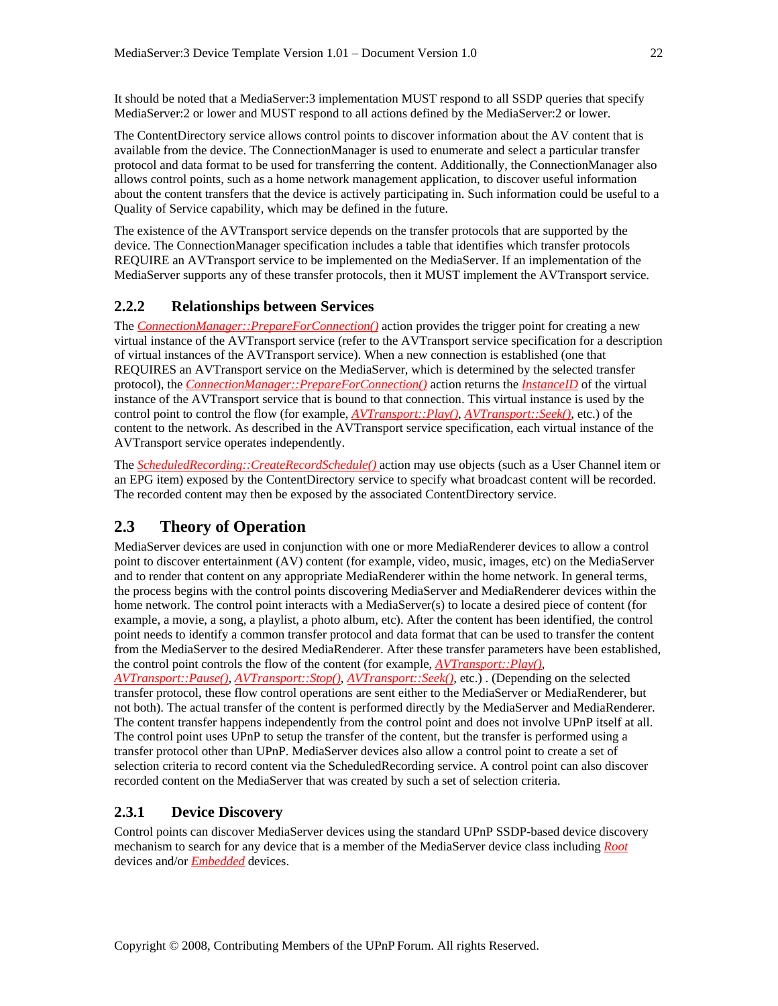It should be noted that a MediaServer:3 implementation MUST respond to all SSDP queries that specify MediaServer:2 or lower and MUST respond to all actions defined by the MediaServer:2 or lower.

The ContentDirectory service allows control points to discover information about the AV content that is available from the device. The ConnectionManager is used to enumerate and select a particular transfer protocol and data format to be used for transferring the content. Additionally, the ConnectionManager also allows control points, such as a home network management application, to discover useful information about the content transfers that the device is actively participating in. Such information could be useful to a Quality of Service capability, which may be defined in the future.

The existence of the AVTransport service depends on the transfer protocols that are supported by the device. The ConnectionManager specification includes a table that identifies which transfer protocols REQUIRE an AVTransport service to be implemented on the MediaServer. If an implementation of the MediaServer supports any of these transfer protocols, then it MUST implement the AVTransport service.

## **2.2.2 Relationships between Services**

The *ConnectionManager::PrepareForConnection()* action provides the trigger point for creating a new virtual instance of the AVTransport service (refer to the AVTransport service specification for a description of virtual instances of the AVTransport service). When a new connection is established (one that REQUIRES an AVTransport service on the MediaServer, which is determined by the selected transfer protocol), the *ConnectionManager::PrepareForConnection()* action returns the *InstanceID* of the virtual instance of the AVTransport service that is bound to that connection. This virtual instance is used by the control point to control the flow (for example, *AVTransport::Play()*, *AVTransport::Seek()*, etc.) of the content to the network. As described in the AVTransport service specification, each virtual instance of the AVTransport service operates independently.

The *ScheduledRecording::CreateRecordSchedule()* action may use objects (such as a User Channel item or an EPG item) exposed by the ContentDirectory service to specify what broadcast content will be recorded. The recorded content may then be exposed by the associated ContentDirectory service.

# **2.3 Theory of Operation**

MediaServer devices are used in conjunction with one or more MediaRenderer devices to allow a control point to discover entertainment (AV) content (for example, video, music, images, etc) on the MediaServer and to render that content on any appropriate MediaRenderer within the home network. In general terms, the process begins with the control points discovering MediaServer and MediaRenderer devices within the home network. The control point interacts with a MediaServer(s) to locate a desired piece of content (for example, a movie, a song, a playlist, a photo album, etc). After the content has been identified, the control point needs to identify a common transfer protocol and data format that can be used to transfer the content from the MediaServer to the desired MediaRenderer. After these transfer parameters have been established, the control point controls the flow of the content (for example, *AVTransport::Play()*,

*AVTransport::Pause()*, *AVTransport::Stop()*, *AVTransport::Seek()*, etc.) . (Depending on the selected transfer protocol, these flow control operations are sent either to the MediaServer or MediaRenderer, but not both). The actual transfer of the content is performed directly by the MediaServer and MediaRenderer. The content transfer happens independently from the control point and does not involve UPnP itself at all. The control point uses UPnP to setup the transfer of the content, but the transfer is performed using a transfer protocol other than UPnP. MediaServer devices also allow a control point to create a set of selection criteria to record content via the ScheduledRecording service. A control point can also discover recorded content on the MediaServer that was created by such a set of selection criteria.

## **2.3.1 Device Discovery**

Control points can discover MediaServer devices using the standard UPnP SSDP-based device discovery mechanism to search for any device that is a member of the MediaServer device class including *Root* devices and/or *Embedded* devices.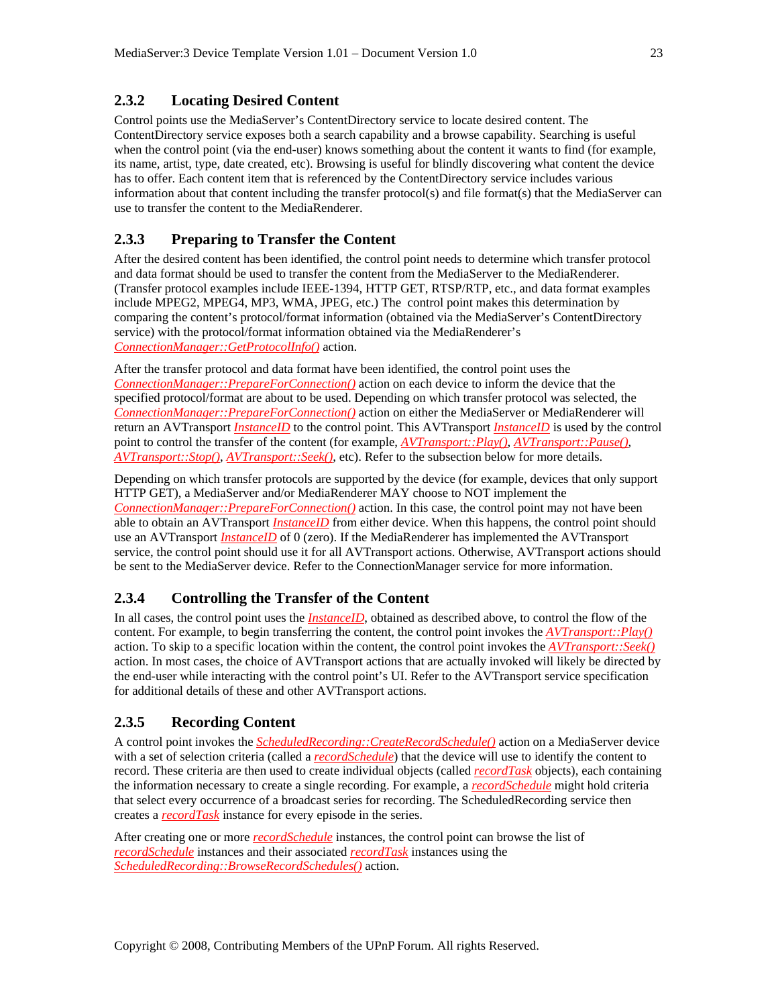# **2.3.2 Locating Desired Content**

Control points use the MediaServer's ContentDirectory service to locate desired content. The ContentDirectory service exposes both a search capability and a browse capability. Searching is useful when the control point (via the end-user) knows something about the content it wants to find (for example, its name, artist, type, date created, etc). Browsing is useful for blindly discovering what content the device has to offer. Each content item that is referenced by the ContentDirectory service includes various information about that content including the transfer protocol(s) and file format(s) that the MediaServer can use to transfer the content to the MediaRenderer.

## **2.3.3 Preparing to Transfer the Content**

After the desired content has been identified, the control point needs to determine which transfer protocol and data format should be used to transfer the content from the MediaServer to the MediaRenderer. (Transfer protocol examples include IEEE-1394, HTTP GET, RTSP/RTP, etc., and data format examples include MPEG2, MPEG4, MP3, WMA, JPEG, etc.) The control point makes this determination by comparing the content's protocol/format information (obtained via the MediaServer's ContentDirectory service) with the protocol/format information obtained via the MediaRenderer's *ConnectionManager::GetProtocolInfo()* action.

After the transfer protocol and data format have been identified, the control point uses the *ConnectionManager::PrepareForConnection()* action on each device to inform the device that the specified protocol/format are about to be used. Depending on which transfer protocol was selected, the *ConnectionManager::PrepareForConnection()* action on either the MediaServer or MediaRenderer will return an AVTransport *InstanceID* to the control point. This AVTransport *InstanceID* is used by the control point to control the transfer of the content (for example, *AVTransport::Play()*, *AVTransport::Pause()*, *AVTransport::Stop()*, *AVTransport::Seek()*, etc). Refer to the subsection below for more details.

Depending on which transfer protocols are supported by the device (for example, devices that only support HTTP GET), a MediaServer and/or MediaRenderer MAY choose to NOT implement the *ConnectionManager::PrepareForConnection()* action. In this case, the control point may not have been able to obtain an AVTransport *InstanceID* from either device. When this happens, the control point should use an AVTransport *InstanceID* of 0 (zero). If the MediaRenderer has implemented the AVTransport service, the control point should use it for all AVTransport actions. Otherwise, AVTransport actions should be sent to the MediaServer device. Refer to the ConnectionManager service for more information.

## **2.3.4 Controlling the Transfer of the Content**

In all cases, the control point uses the *InstanceID*, obtained as described above, to control the flow of the content. For example, to begin transferring the content, the control point invokes the *AVTransport::Play()* action. To skip to a specific location within the content, the control point invokes the *AVTransport::Seek()* action. In most cases, the choice of AVTransport actions that are actually invoked will likely be directed by the end-user while interacting with the control point's UI. Refer to the AVTransport service specification for additional details of these and other AVTransport actions.

## **2.3.5 Recording Content**

A control point invokes the *ScheduledRecording::CreateRecordSchedule()* action on a MediaServer device with a set of selection criteria (called a *recordSchedule*) that the device will use to identify the content to record. These criteria are then used to create individual objects (called *recordTask* objects), each containing the information necessary to create a single recording. For example, a *recordSchedule* might hold criteria that select every occurrence of a broadcast series for recording. The ScheduledRecording service then creates a *recordTask* instance for every episode in the series.

After creating one or more *recordSchedule* instances, the control point can browse the list of *recordSchedule* instances and their associated *recordTask* instances using the *ScheduledRecording::BrowseRecordSchedules()* action.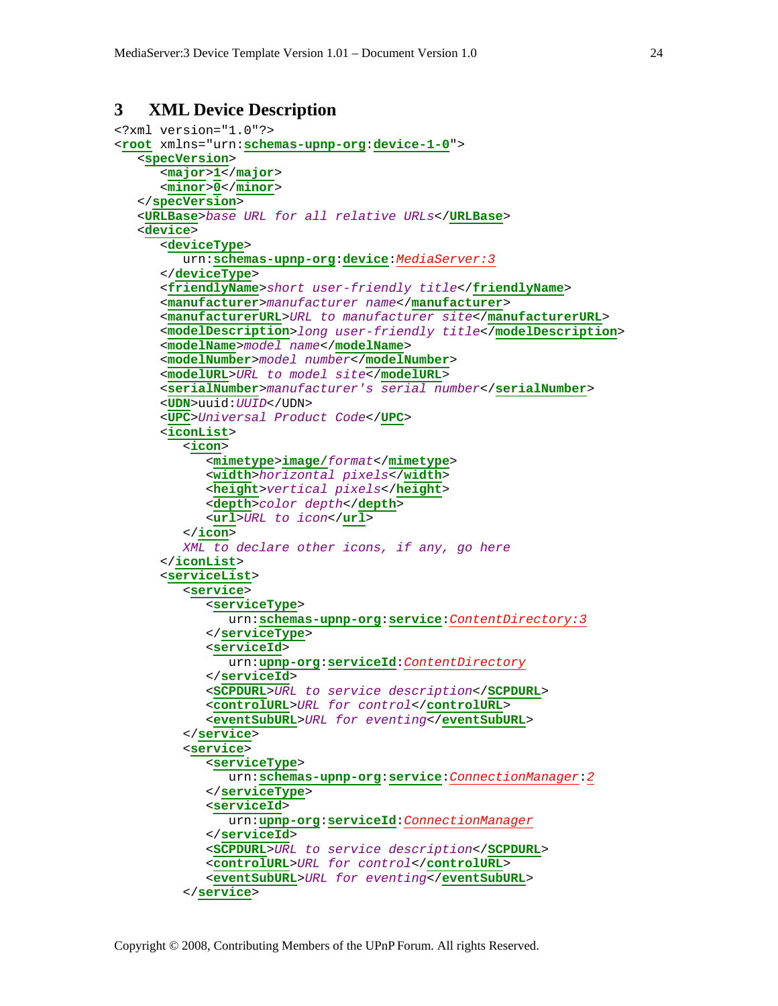# **3 XML Device Description**

```
<?xml version="1.0"?> 
<root xmlns="urn:schemas-upnp-org:device-1-0"> 
    <specVersion> 
       <major>1</major> 
       <minor>0</minor> 
    </specVersion> 
    <URLBase>base URL for all relative URLs</URLBase> 
    <device> 
       <deviceType> 
          urn:schemas-upnp-org:device:MediaServer:3
       </deviceType> 
       <friendlyName>short user-friendly title</friendlyName> 
       <manufacturer>manufacturer name</manufacturer> 
       <manufacturerURL>URL to manufacturer site</manufacturerURL> 
       <modelDescription>long user-friendly title</modelDescription> 
       <modelName>model name</modelName> 
       <modelNumber>model number</modelNumber> 
       <modelURL>URL to model site</modelURL> 
       <serialNumber>manufacturer's serial number</serialNumber> 
       <UDN>uuid:UUID</UDN> 
       <UPC>Universal Product Code</UPC> 
       <iconList> 
          <icon> 
             <mimetype>image/format</mimetype> 
             <width>horizontal pixels</width> 
             <height>vertical pixels</height> 
             <depth>color depth</depth> 
             <url>URL to icon</url> 
          </icon> 
          XML to declare other icons, if any, go here
       </iconList> 
       <serviceList> 
          <service> 
             <serviceType> 
                 urn:schemas-upnp-org:service:ContentDirectory:3
             </serviceType> 
              <serviceId> 
                 urn:upnp-org:serviceId:ContentDirectory
             </serviceId> 
             <SCPDURL>URL to service description</SCPDURL> 
             <controlURL>URL for control</controlURL> 
             <eventSubURL>URL for eventing</eventSubURL> 
          </service> 
          <service> 
             <serviceType> 
                 urn:schemas-upnp-org:service:ConnectionManager:2
             </serviceType> 
             <serviceId> 
                 urn:upnp-org:serviceId:ConnectionManager
             </serviceId> 
             <SCPDURL>URL to service description</SCPDURL> 
              <controlURL>URL for control</controlURL> 
              <eventSubURL>URL for eventing</eventSubURL> 
          </service>
```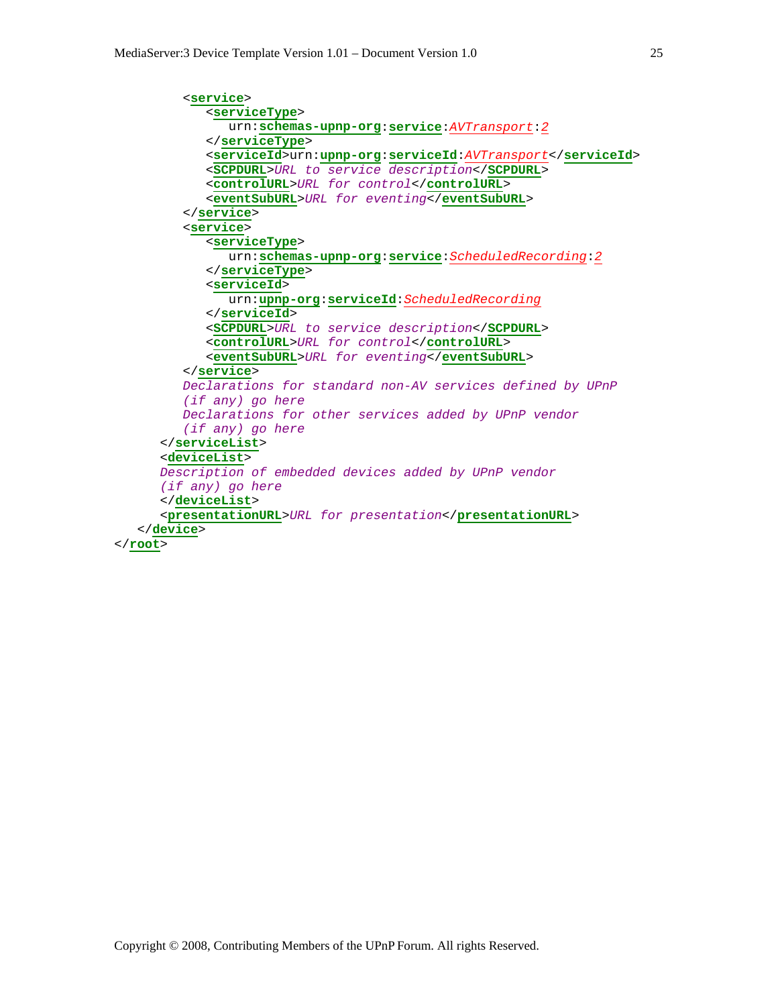```
 <service> 
             <serviceType> 
                urn:schemas-upnp-org:service:AVTransport:2
             </serviceType> 
             <serviceId>urn:upnp-org:serviceId:AVTransport</serviceId> 
             <SCPDURL>URL to service description</SCPDURL> 
             <controlURL>URL for control</controlURL> 
             <eventSubURL>URL for eventing</eventSubURL> 
          </service> 
          <service> 
             <serviceType> 
                urn:schemas-upnp-org:service:ScheduledRecording:2
             </serviceType> 
             <serviceId> 
                urn:upnp-org:serviceId:ScheduledRecording
             </serviceId> 
             <SCPDURL>URL to service description</SCPDURL> 
             <controlURL>URL for control</controlURL> 
             <eventSubURL>URL for eventing</eventSubURL> 
          </service> 
          Declarations for standard non-AV services defined by UPnP 
          (if any) go here
          Declarations for other services added by UPnP vendor 
          (if any) go here
       </serviceList> 
       <deviceList> 
       Description of embedded devices added by UPnP vendor 
       (if any) go here
       </deviceList> 
       <presentationURL>URL for presentation</presentationURL> 
    </device> 
</root>
```